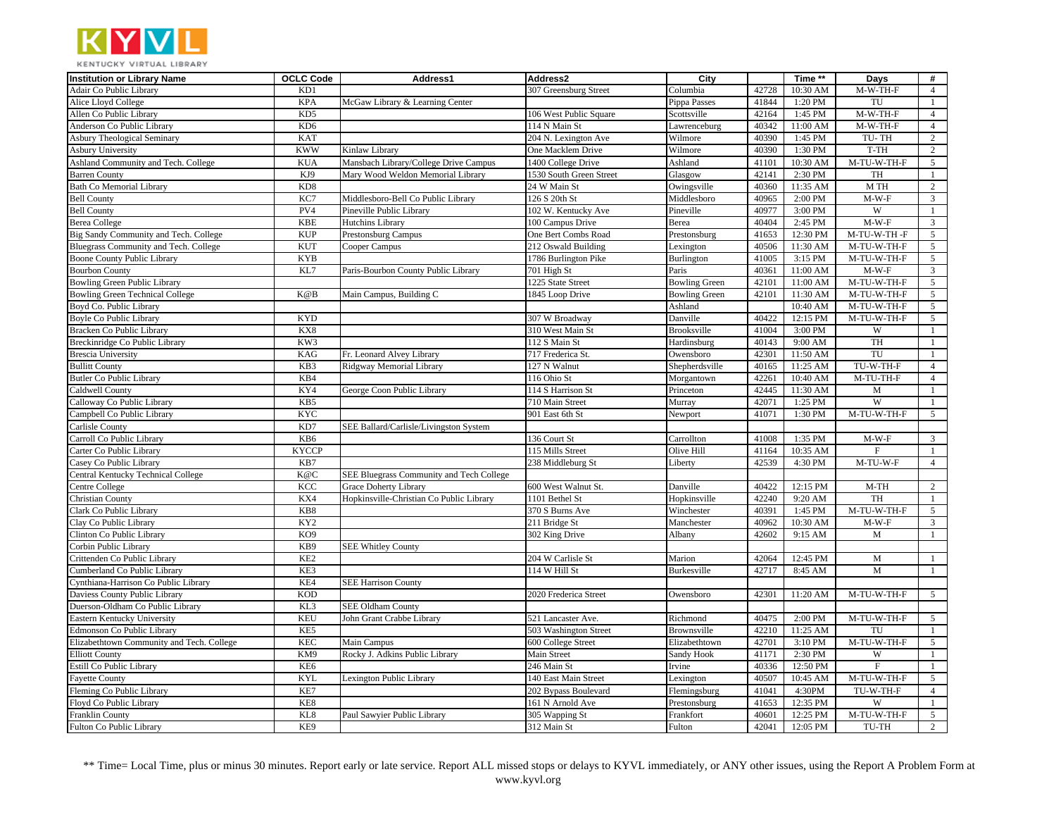

| $\overline{4}$<br>Adair Co Public Library<br>KD1<br>307 Greensburg Street<br>42728<br>10:30 AM<br>M-W-TH-F<br>Columbia<br>Alice Lloyd College<br><b>KPA</b><br>41844<br>1:20 PM<br>TU<br>McGaw Library & Learning Center<br>Pippa Passes<br>$\mathbf{1}$<br>M-W-TH-F<br>$\sqrt{4}$<br>Allen Co Public Library<br>KD5<br>106 West Public Square<br>Scottsville<br>42164<br>1:45 PM<br>$\overline{4}$<br>KD <sub>6</sub><br>40342<br>11:00 AM<br>$M-W-TH-F$<br>Anderson Co Public Library<br>114 N Main St<br>Lawrenceburg<br>$\overline{2}$<br>KAT<br>204 N. Lexington Ave<br>Wilmore<br>40390<br>1:45 PM<br>TU-TH<br><b>Asbury Theological Seminary</b><br>$\overline{2}$<br><b>KWW</b><br>T-TH<br><b>Asbury University</b><br>Kinlaw Library<br>One Macklem Drive<br>Wilmore<br>40390<br>1:30 PM<br>Ashland Community and Tech. College<br><b>KUA</b><br>Mansbach Library/College Drive Campus<br>Ashland<br>41101<br>10:30 AM<br>M-TU-W-TH-F<br>5<br>1400 College Drive<br>42141<br>KJ9<br>Mary Wood Weldon Memorial Library<br>Glasgow<br>2:30 PM<br>TH<br><b>Barren County</b><br>1530 South Green Street<br>$\mathbf{1}$<br>$\overline{2}$<br>KD <sub>8</sub><br>M TH<br><b>Bath Co Memorial Library</b><br>24 W Main St<br>Owingsville<br>40360<br>11:35 AM<br>$M-W-F$<br><b>Bell County</b><br>KC7<br>Middlesboro-Bell Co Public Library<br>126 S 20th St<br>Middlesboro<br>40965<br>2:00 PM<br>3<br>PV4<br>40977<br>W<br><b>Bell County</b><br>Pineville Public Library<br>102 W. Kentucky Ave<br>Pineville<br>3:00 PM<br>$\mathbf{1}$<br><b>KBE</b><br>40404<br>$2:45$ PM<br>$M-W-F$<br>$\mathfrak{Z}$<br><b>Berea College</b><br>Hutchins Library<br>100 Campus Drive<br>Berea<br><b>KUP</b><br>$\mathfrak{S}$<br>Big Sandy Community and Tech. College<br>41653<br>12:30 PM<br>M-TU-W-TH-F<br>Prestonsburg Campus<br>One Bert Combs Road<br>Prestonsburg<br><b>KUT</b><br>40506<br>5 <sup>5</sup><br>Bluegrass Community and Tech. College<br>212 Oswald Building<br>Lexington<br>11:30 AM<br>M-TU-W-TH-F<br>Cooper Campus<br><b>KYB</b><br>$M-TU-W-TH-F$<br>5<br>Boone County Public Library<br>1786 Burlington Pike<br>41005<br>3:15 PM<br>Burlington<br>KL7<br>40361<br>$\mathbf{3}$<br>701 High St<br>Paris<br>11:00 AM<br>$M-W-F$<br><b>Bourbon County</b><br>Paris-Bourbon County Public Library<br>42101<br>M-TU-W-TH-F<br>5 <sup>5</sup><br><b>Bowling Green Public Library</b><br>1225 State Street<br><b>Bowling Green</b><br>11:00 AM<br>M-TU-W-TH-F<br>5<br><b>Bowling Green Technical College</b><br>K@B<br>Main Campus, Building C<br>1845 Loop Drive<br><b>Bowling Green</b><br>42101<br>11:30 AM<br>Boyd Co. Public Library<br>Ashland<br>10:40 AM<br>M-TU-W-TH-F<br>$5\overline{)}$<br>$\overline{5}$<br><b>KYD</b><br>40422<br>M-TU-W-TH-F<br>Boyle Co Public Library<br>307 W Broadway<br>Danville<br>12:15 PM<br>KX8<br>310 West Main St<br>41004<br>3:00 PM<br>W<br>$\mathbf{1}$<br>Bracken Co Public Library<br>Brooksville<br>KW3<br>TH<br>Breckinridge Co Public Library<br>112 S Main St<br>Hardinsburg<br>40143<br>9:00 AM<br>$\mathbf{1}$<br>TU<br>KAG<br>42301<br>$\mathbf{1}$<br><b>Brescia University</b><br>Fr. Leonard Alvey Library<br>717 Frederica St.<br>Owensboro<br>11:50 AM<br>KB3<br>127 N Walnut<br>40165<br>11:25 AM<br>TU-W-TH-F<br>$\overline{4}$<br><b>Bullitt County</b><br>Ridgway Memorial Library<br>Shepherdsville<br>KB4<br>42261<br>M-TU-TH-F<br>$\overline{4}$<br><b>Butler Co Public Library</b><br>116 Ohio St<br>10:40 AM<br>Morgantown<br>KY4<br>42445<br>11:30 AM<br>$\mathbf{1}$<br>Caldwell County<br>George Coon Public Library<br>114 S Harrison St<br>Princeton<br>M<br>W<br>Calloway Co Public Library<br>KB5<br>710 Main Street<br>Murray<br>42071<br>1:25 PM<br>$\mathbf{1}$<br><b>KYC</b><br>41071<br>M-TU-W-TH-F<br>5<br>Campbell Co Public Library<br>901 East 6th St<br>1:30 PM<br>Newport<br>KD7<br>Carlisle County<br>SEE Ballard/Carlisle/Livingston System<br>41008<br>Carroll Co Public Library<br>KB6<br>Carrollton<br>1:35 PM<br>$M-W-F$<br>3<br>136 Court St<br><b>KYCCP</b><br>41164<br>10:35 AM<br>Carter Co Public Library<br>115 Mills Street<br>Olive Hill<br>$\mathbf{F}$<br>$\mathbf{1}$<br>KB7<br>42539<br>M-TU-W-F<br>$\overline{4}$<br>Casey Co Public Library<br>238 Middleburg St<br>4:30 PM<br>Liberty<br>K@C<br>Central Kentucky Technical College<br>SEE Bluegrass Community and Tech College<br>KCC<br>600 West Walnut St.<br>40422<br>2<br>Centre College<br><b>Grace Doherty Library</b><br>Danville<br>12:15 PM<br>$M-TH$<br>Hopkinsville-Christian Co Public Library<br>42240<br>TH<br>KX4<br>1101 Bethel St<br>Hopkinsville<br>9:20 AM<br><b>Christian County</b><br>-1<br>KB8<br>40391<br>M-TU-W-TH-F<br>Clark Co Public Library<br>370 S Burns Ave<br>Winchester<br>1:45 PM<br>$5\overline{)}$<br>Clay Co Public Library<br>KY <sub>2</sub><br>211 Bridge St<br>10:30 AM<br>$M-W-F$<br>3<br>Manchester<br>40962<br>KO <sub>9</sub><br>302 King Drive<br>42602<br>9:15 AM<br>$\mathbf M$<br>Clinton Co Public Library<br>Albany<br>$\mathbf{1}$<br>KB9<br>Corbin Public Library<br><b>SEE Whitley County</b><br>KE <sub>2</sub><br>M<br>$\mathbf{1}$<br>Crittenden Co Public Library<br>204 W Carlisle St<br>42064<br>12:45 PM<br>Marion<br>KE3<br>$\mathbf{M}$<br>Cumberland Co Public Library<br>114 W Hill St<br>42717<br>8:45 AM<br>Burkesville<br>$\mathbf{1}$<br>KE4<br>Cynthiana-Harrison Co Public Library<br><b>SEE Harrison County</b><br><b>KOD</b><br>M-TU-W-TH-F<br>5 <sup>5</sup><br>Daviess County Public Library<br>2020 Frederica Street<br>Owensboro<br>42301<br>11:20 AM<br>KL3<br>Duerson-Oldham Co Public Library<br><b>SEE Oldham County</b><br><b>KEU</b><br>40475<br>M-TU-W-TH-F<br>$5\overline{)}$<br>Eastern Kentucky University<br>John Grant Crabbe Library<br>521 Lancaster Ave.<br>2:00 PM<br>Richmond<br>KE5<br>42210<br>11:25 AM<br>TU<br>Edmonson Co Public Library<br>503 Washington Street<br>Brownsville<br>1<br><b>KEC</b><br>42701<br>M-TU-W-TH-F<br>$\mathfrak{S}$<br>Elizabethtown Community and Tech. College<br>Main Campus<br>Elizabethtown<br>3:10 PM | <b>Institution or Library Name</b> | <b>OCLC Code</b> | Address1 | Address2           | City | Time ** | Days | # |
|------------------------------------------------------------------------------------------------------------------------------------------------------------------------------------------------------------------------------------------------------------------------------------------------------------------------------------------------------------------------------------------------------------------------------------------------------------------------------------------------------------------------------------------------------------------------------------------------------------------------------------------------------------------------------------------------------------------------------------------------------------------------------------------------------------------------------------------------------------------------------------------------------------------------------------------------------------------------------------------------------------------------------------------------------------------------------------------------------------------------------------------------------------------------------------------------------------------------------------------------------------------------------------------------------------------------------------------------------------------------------------------------------------------------------------------------------------------------------------------------------------------------------------------------------------------------------------------------------------------------------------------------------------------------------------------------------------------------------------------------------------------------------------------------------------------------------------------------------------------------------------------------------------------------------------------------------------------------------------------------------------------------------------------------------------------------------------------------------------------------------------------------------------------------------------------------------------------------------------------------------------------------------------------------------------------------------------------------------------------------------------------------------------------------------------------------------------------------------------------------------------------------------------------------------------------------------------------------------------------------------------------------------------------------------------------------------------------------------------------------------------------------------------------------------------------------------------------------------------------------------------------------------------------------------------------------------------------------------------------------------------------------------------------------------------------------------------------------------------------------------------------------------------------------------------------------------------------------------------------------------------------------------------------------------------------------------------------------------------------------------------------------------------------------------------------------------------------------------------------------------------------------------------------------------------------------------------------------------------------------------------------------------------------------------------------------------------------------------------------------------------------------------------------------------------------------------------------------------------------------------------------------------------------------------------------------------------------------------------------------------------------------------------------------------------------------------------------------------------------------------------------------------------------------------------------------------------------------------------------------------------------------------------------------------------------------------------------------------------------------------------------------------------------------------------------------------------------------------------------------------------------------------------------------------------------------------------------------------------------------------------------------------------------------------------------------------------------------------------------------------------------------------------------------------------------------------------------------------------------------------------------------------------------------------------------------------------------------------------------------------------------------------------------------------------------------------------------------------------------------------------------------------------------------------------------------------------------------------------------------------------------------------------------------------------------------------------------------------------------------------------------------------------------------------------------------------------------------------------------------------------------------------------------------------------------------------------------------------------------------------------------------------------------------------------------------------------------------------------------------------------------------------------------------------------------------------------------------------------------------------------------------------------------------------------------------------------------------------------------------------------------------------------------------------------------------------------------------------------------|------------------------------------|------------------|----------|--------------------|------|---------|------|---|
|                                                                                                                                                                                                                                                                                                                                                                                                                                                                                                                                                                                                                                                                                                                                                                                                                                                                                                                                                                                                                                                                                                                                                                                                                                                                                                                                                                                                                                                                                                                                                                                                                                                                                                                                                                                                                                                                                                                                                                                                                                                                                                                                                                                                                                                                                                                                                                                                                                                                                                                                                                                                                                                                                                                                                                                                                                                                                                                                                                                                                                                                                                                                                                                                                                                                                                                                                                                                                                                                                                                                                                                                                                                                                                                                                                                                                                                                                                                                                                                                                                                                                                                                                                                                                                                                                                                                                                                                                                                                                                                                                                                                                                                                                                                                                                                                                                                                                                                                                                                                                                                                                                                                                                                                                                                                                                                                                                                                                                                                                                                                                                                                                                                                                                                                                                                                                                                                                                                                                                                                                                                                                                                  |                                    |                  |          |                    |      |         |      |   |
|                                                                                                                                                                                                                                                                                                                                                                                                                                                                                                                                                                                                                                                                                                                                                                                                                                                                                                                                                                                                                                                                                                                                                                                                                                                                                                                                                                                                                                                                                                                                                                                                                                                                                                                                                                                                                                                                                                                                                                                                                                                                                                                                                                                                                                                                                                                                                                                                                                                                                                                                                                                                                                                                                                                                                                                                                                                                                                                                                                                                                                                                                                                                                                                                                                                                                                                                                                                                                                                                                                                                                                                                                                                                                                                                                                                                                                                                                                                                                                                                                                                                                                                                                                                                                                                                                                                                                                                                                                                                                                                                                                                                                                                                                                                                                                                                                                                                                                                                                                                                                                                                                                                                                                                                                                                                                                                                                                                                                                                                                                                                                                                                                                                                                                                                                                                                                                                                                                                                                                                                                                                                                                                  |                                    |                  |          |                    |      |         |      |   |
|                                                                                                                                                                                                                                                                                                                                                                                                                                                                                                                                                                                                                                                                                                                                                                                                                                                                                                                                                                                                                                                                                                                                                                                                                                                                                                                                                                                                                                                                                                                                                                                                                                                                                                                                                                                                                                                                                                                                                                                                                                                                                                                                                                                                                                                                                                                                                                                                                                                                                                                                                                                                                                                                                                                                                                                                                                                                                                                                                                                                                                                                                                                                                                                                                                                                                                                                                                                                                                                                                                                                                                                                                                                                                                                                                                                                                                                                                                                                                                                                                                                                                                                                                                                                                                                                                                                                                                                                                                                                                                                                                                                                                                                                                                                                                                                                                                                                                                                                                                                                                                                                                                                                                                                                                                                                                                                                                                                                                                                                                                                                                                                                                                                                                                                                                                                                                                                                                                                                                                                                                                                                                                                  |                                    |                  |          |                    |      |         |      |   |
|                                                                                                                                                                                                                                                                                                                                                                                                                                                                                                                                                                                                                                                                                                                                                                                                                                                                                                                                                                                                                                                                                                                                                                                                                                                                                                                                                                                                                                                                                                                                                                                                                                                                                                                                                                                                                                                                                                                                                                                                                                                                                                                                                                                                                                                                                                                                                                                                                                                                                                                                                                                                                                                                                                                                                                                                                                                                                                                                                                                                                                                                                                                                                                                                                                                                                                                                                                                                                                                                                                                                                                                                                                                                                                                                                                                                                                                                                                                                                                                                                                                                                                                                                                                                                                                                                                                                                                                                                                                                                                                                                                                                                                                                                                                                                                                                                                                                                                                                                                                                                                                                                                                                                                                                                                                                                                                                                                                                                                                                                                                                                                                                                                                                                                                                                                                                                                                                                                                                                                                                                                                                                                                  |                                    |                  |          |                    |      |         |      |   |
|                                                                                                                                                                                                                                                                                                                                                                                                                                                                                                                                                                                                                                                                                                                                                                                                                                                                                                                                                                                                                                                                                                                                                                                                                                                                                                                                                                                                                                                                                                                                                                                                                                                                                                                                                                                                                                                                                                                                                                                                                                                                                                                                                                                                                                                                                                                                                                                                                                                                                                                                                                                                                                                                                                                                                                                                                                                                                                                                                                                                                                                                                                                                                                                                                                                                                                                                                                                                                                                                                                                                                                                                                                                                                                                                                                                                                                                                                                                                                                                                                                                                                                                                                                                                                                                                                                                                                                                                                                                                                                                                                                                                                                                                                                                                                                                                                                                                                                                                                                                                                                                                                                                                                                                                                                                                                                                                                                                                                                                                                                                                                                                                                                                                                                                                                                                                                                                                                                                                                                                                                                                                                                                  |                                    |                  |          |                    |      |         |      |   |
|                                                                                                                                                                                                                                                                                                                                                                                                                                                                                                                                                                                                                                                                                                                                                                                                                                                                                                                                                                                                                                                                                                                                                                                                                                                                                                                                                                                                                                                                                                                                                                                                                                                                                                                                                                                                                                                                                                                                                                                                                                                                                                                                                                                                                                                                                                                                                                                                                                                                                                                                                                                                                                                                                                                                                                                                                                                                                                                                                                                                                                                                                                                                                                                                                                                                                                                                                                                                                                                                                                                                                                                                                                                                                                                                                                                                                                                                                                                                                                                                                                                                                                                                                                                                                                                                                                                                                                                                                                                                                                                                                                                                                                                                                                                                                                                                                                                                                                                                                                                                                                                                                                                                                                                                                                                                                                                                                                                                                                                                                                                                                                                                                                                                                                                                                                                                                                                                                                                                                                                                                                                                                                                  |                                    |                  |          |                    |      |         |      |   |
|                                                                                                                                                                                                                                                                                                                                                                                                                                                                                                                                                                                                                                                                                                                                                                                                                                                                                                                                                                                                                                                                                                                                                                                                                                                                                                                                                                                                                                                                                                                                                                                                                                                                                                                                                                                                                                                                                                                                                                                                                                                                                                                                                                                                                                                                                                                                                                                                                                                                                                                                                                                                                                                                                                                                                                                                                                                                                                                                                                                                                                                                                                                                                                                                                                                                                                                                                                                                                                                                                                                                                                                                                                                                                                                                                                                                                                                                                                                                                                                                                                                                                                                                                                                                                                                                                                                                                                                                                                                                                                                                                                                                                                                                                                                                                                                                                                                                                                                                                                                                                                                                                                                                                                                                                                                                                                                                                                                                                                                                                                                                                                                                                                                                                                                                                                                                                                                                                                                                                                                                                                                                                                                  |                                    |                  |          |                    |      |         |      |   |
|                                                                                                                                                                                                                                                                                                                                                                                                                                                                                                                                                                                                                                                                                                                                                                                                                                                                                                                                                                                                                                                                                                                                                                                                                                                                                                                                                                                                                                                                                                                                                                                                                                                                                                                                                                                                                                                                                                                                                                                                                                                                                                                                                                                                                                                                                                                                                                                                                                                                                                                                                                                                                                                                                                                                                                                                                                                                                                                                                                                                                                                                                                                                                                                                                                                                                                                                                                                                                                                                                                                                                                                                                                                                                                                                                                                                                                                                                                                                                                                                                                                                                                                                                                                                                                                                                                                                                                                                                                                                                                                                                                                                                                                                                                                                                                                                                                                                                                                                                                                                                                                                                                                                                                                                                                                                                                                                                                                                                                                                                                                                                                                                                                                                                                                                                                                                                                                                                                                                                                                                                                                                                                                  |                                    |                  |          |                    |      |         |      |   |
|                                                                                                                                                                                                                                                                                                                                                                                                                                                                                                                                                                                                                                                                                                                                                                                                                                                                                                                                                                                                                                                                                                                                                                                                                                                                                                                                                                                                                                                                                                                                                                                                                                                                                                                                                                                                                                                                                                                                                                                                                                                                                                                                                                                                                                                                                                                                                                                                                                                                                                                                                                                                                                                                                                                                                                                                                                                                                                                                                                                                                                                                                                                                                                                                                                                                                                                                                                                                                                                                                                                                                                                                                                                                                                                                                                                                                                                                                                                                                                                                                                                                                                                                                                                                                                                                                                                                                                                                                                                                                                                                                                                                                                                                                                                                                                                                                                                                                                                                                                                                                                                                                                                                                                                                                                                                                                                                                                                                                                                                                                                                                                                                                                                                                                                                                                                                                                                                                                                                                                                                                                                                                                                  |                                    |                  |          |                    |      |         |      |   |
|                                                                                                                                                                                                                                                                                                                                                                                                                                                                                                                                                                                                                                                                                                                                                                                                                                                                                                                                                                                                                                                                                                                                                                                                                                                                                                                                                                                                                                                                                                                                                                                                                                                                                                                                                                                                                                                                                                                                                                                                                                                                                                                                                                                                                                                                                                                                                                                                                                                                                                                                                                                                                                                                                                                                                                                                                                                                                                                                                                                                                                                                                                                                                                                                                                                                                                                                                                                                                                                                                                                                                                                                                                                                                                                                                                                                                                                                                                                                                                                                                                                                                                                                                                                                                                                                                                                                                                                                                                                                                                                                                                                                                                                                                                                                                                                                                                                                                                                                                                                                                                                                                                                                                                                                                                                                                                                                                                                                                                                                                                                                                                                                                                                                                                                                                                                                                                                                                                                                                                                                                                                                                                                  |                                    |                  |          |                    |      |         |      |   |
|                                                                                                                                                                                                                                                                                                                                                                                                                                                                                                                                                                                                                                                                                                                                                                                                                                                                                                                                                                                                                                                                                                                                                                                                                                                                                                                                                                                                                                                                                                                                                                                                                                                                                                                                                                                                                                                                                                                                                                                                                                                                                                                                                                                                                                                                                                                                                                                                                                                                                                                                                                                                                                                                                                                                                                                                                                                                                                                                                                                                                                                                                                                                                                                                                                                                                                                                                                                                                                                                                                                                                                                                                                                                                                                                                                                                                                                                                                                                                                                                                                                                                                                                                                                                                                                                                                                                                                                                                                                                                                                                                                                                                                                                                                                                                                                                                                                                                                                                                                                                                                                                                                                                                                                                                                                                                                                                                                                                                                                                                                                                                                                                                                                                                                                                                                                                                                                                                                                                                                                                                                                                                                                  |                                    |                  |          |                    |      |         |      |   |
|                                                                                                                                                                                                                                                                                                                                                                                                                                                                                                                                                                                                                                                                                                                                                                                                                                                                                                                                                                                                                                                                                                                                                                                                                                                                                                                                                                                                                                                                                                                                                                                                                                                                                                                                                                                                                                                                                                                                                                                                                                                                                                                                                                                                                                                                                                                                                                                                                                                                                                                                                                                                                                                                                                                                                                                                                                                                                                                                                                                                                                                                                                                                                                                                                                                                                                                                                                                                                                                                                                                                                                                                                                                                                                                                                                                                                                                                                                                                                                                                                                                                                                                                                                                                                                                                                                                                                                                                                                                                                                                                                                                                                                                                                                                                                                                                                                                                                                                                                                                                                                                                                                                                                                                                                                                                                                                                                                                                                                                                                                                                                                                                                                                                                                                                                                                                                                                                                                                                                                                                                                                                                                                  |                                    |                  |          |                    |      |         |      |   |
|                                                                                                                                                                                                                                                                                                                                                                                                                                                                                                                                                                                                                                                                                                                                                                                                                                                                                                                                                                                                                                                                                                                                                                                                                                                                                                                                                                                                                                                                                                                                                                                                                                                                                                                                                                                                                                                                                                                                                                                                                                                                                                                                                                                                                                                                                                                                                                                                                                                                                                                                                                                                                                                                                                                                                                                                                                                                                                                                                                                                                                                                                                                                                                                                                                                                                                                                                                                                                                                                                                                                                                                                                                                                                                                                                                                                                                                                                                                                                                                                                                                                                                                                                                                                                                                                                                                                                                                                                                                                                                                                                                                                                                                                                                                                                                                                                                                                                                                                                                                                                                                                                                                                                                                                                                                                                                                                                                                                                                                                                                                                                                                                                                                                                                                                                                                                                                                                                                                                                                                                                                                                                                                  |                                    |                  |          |                    |      |         |      |   |
|                                                                                                                                                                                                                                                                                                                                                                                                                                                                                                                                                                                                                                                                                                                                                                                                                                                                                                                                                                                                                                                                                                                                                                                                                                                                                                                                                                                                                                                                                                                                                                                                                                                                                                                                                                                                                                                                                                                                                                                                                                                                                                                                                                                                                                                                                                                                                                                                                                                                                                                                                                                                                                                                                                                                                                                                                                                                                                                                                                                                                                                                                                                                                                                                                                                                                                                                                                                                                                                                                                                                                                                                                                                                                                                                                                                                                                                                                                                                                                                                                                                                                                                                                                                                                                                                                                                                                                                                                                                                                                                                                                                                                                                                                                                                                                                                                                                                                                                                                                                                                                                                                                                                                                                                                                                                                                                                                                                                                                                                                                                                                                                                                                                                                                                                                                                                                                                                                                                                                                                                                                                                                                                  |                                    |                  |          |                    |      |         |      |   |
|                                                                                                                                                                                                                                                                                                                                                                                                                                                                                                                                                                                                                                                                                                                                                                                                                                                                                                                                                                                                                                                                                                                                                                                                                                                                                                                                                                                                                                                                                                                                                                                                                                                                                                                                                                                                                                                                                                                                                                                                                                                                                                                                                                                                                                                                                                                                                                                                                                                                                                                                                                                                                                                                                                                                                                                                                                                                                                                                                                                                                                                                                                                                                                                                                                                                                                                                                                                                                                                                                                                                                                                                                                                                                                                                                                                                                                                                                                                                                                                                                                                                                                                                                                                                                                                                                                                                                                                                                                                                                                                                                                                                                                                                                                                                                                                                                                                                                                                                                                                                                                                                                                                                                                                                                                                                                                                                                                                                                                                                                                                                                                                                                                                                                                                                                                                                                                                                                                                                                                                                                                                                                                                  |                                    |                  |          |                    |      |         |      |   |
|                                                                                                                                                                                                                                                                                                                                                                                                                                                                                                                                                                                                                                                                                                                                                                                                                                                                                                                                                                                                                                                                                                                                                                                                                                                                                                                                                                                                                                                                                                                                                                                                                                                                                                                                                                                                                                                                                                                                                                                                                                                                                                                                                                                                                                                                                                                                                                                                                                                                                                                                                                                                                                                                                                                                                                                                                                                                                                                                                                                                                                                                                                                                                                                                                                                                                                                                                                                                                                                                                                                                                                                                                                                                                                                                                                                                                                                                                                                                                                                                                                                                                                                                                                                                                                                                                                                                                                                                                                                                                                                                                                                                                                                                                                                                                                                                                                                                                                                                                                                                                                                                                                                                                                                                                                                                                                                                                                                                                                                                                                                                                                                                                                                                                                                                                                                                                                                                                                                                                                                                                                                                                                                  |                                    |                  |          |                    |      |         |      |   |
|                                                                                                                                                                                                                                                                                                                                                                                                                                                                                                                                                                                                                                                                                                                                                                                                                                                                                                                                                                                                                                                                                                                                                                                                                                                                                                                                                                                                                                                                                                                                                                                                                                                                                                                                                                                                                                                                                                                                                                                                                                                                                                                                                                                                                                                                                                                                                                                                                                                                                                                                                                                                                                                                                                                                                                                                                                                                                                                                                                                                                                                                                                                                                                                                                                                                                                                                                                                                                                                                                                                                                                                                                                                                                                                                                                                                                                                                                                                                                                                                                                                                                                                                                                                                                                                                                                                                                                                                                                                                                                                                                                                                                                                                                                                                                                                                                                                                                                                                                                                                                                                                                                                                                                                                                                                                                                                                                                                                                                                                                                                                                                                                                                                                                                                                                                                                                                                                                                                                                                                                                                                                                                                  |                                    |                  |          |                    |      |         |      |   |
|                                                                                                                                                                                                                                                                                                                                                                                                                                                                                                                                                                                                                                                                                                                                                                                                                                                                                                                                                                                                                                                                                                                                                                                                                                                                                                                                                                                                                                                                                                                                                                                                                                                                                                                                                                                                                                                                                                                                                                                                                                                                                                                                                                                                                                                                                                                                                                                                                                                                                                                                                                                                                                                                                                                                                                                                                                                                                                                                                                                                                                                                                                                                                                                                                                                                                                                                                                                                                                                                                                                                                                                                                                                                                                                                                                                                                                                                                                                                                                                                                                                                                                                                                                                                                                                                                                                                                                                                                                                                                                                                                                                                                                                                                                                                                                                                                                                                                                                                                                                                                                                                                                                                                                                                                                                                                                                                                                                                                                                                                                                                                                                                                                                                                                                                                                                                                                                                                                                                                                                                                                                                                                                  |                                    |                  |          |                    |      |         |      |   |
|                                                                                                                                                                                                                                                                                                                                                                                                                                                                                                                                                                                                                                                                                                                                                                                                                                                                                                                                                                                                                                                                                                                                                                                                                                                                                                                                                                                                                                                                                                                                                                                                                                                                                                                                                                                                                                                                                                                                                                                                                                                                                                                                                                                                                                                                                                                                                                                                                                                                                                                                                                                                                                                                                                                                                                                                                                                                                                                                                                                                                                                                                                                                                                                                                                                                                                                                                                                                                                                                                                                                                                                                                                                                                                                                                                                                                                                                                                                                                                                                                                                                                                                                                                                                                                                                                                                                                                                                                                                                                                                                                                                                                                                                                                                                                                                                                                                                                                                                                                                                                                                                                                                                                                                                                                                                                                                                                                                                                                                                                                                                                                                                                                                                                                                                                                                                                                                                                                                                                                                                                                                                                                                  |                                    |                  |          |                    |      |         |      |   |
|                                                                                                                                                                                                                                                                                                                                                                                                                                                                                                                                                                                                                                                                                                                                                                                                                                                                                                                                                                                                                                                                                                                                                                                                                                                                                                                                                                                                                                                                                                                                                                                                                                                                                                                                                                                                                                                                                                                                                                                                                                                                                                                                                                                                                                                                                                                                                                                                                                                                                                                                                                                                                                                                                                                                                                                                                                                                                                                                                                                                                                                                                                                                                                                                                                                                                                                                                                                                                                                                                                                                                                                                                                                                                                                                                                                                                                                                                                                                                                                                                                                                                                                                                                                                                                                                                                                                                                                                                                                                                                                                                                                                                                                                                                                                                                                                                                                                                                                                                                                                                                                                                                                                                                                                                                                                                                                                                                                                                                                                                                                                                                                                                                                                                                                                                                                                                                                                                                                                                                                                                                                                                                                  |                                    |                  |          |                    |      |         |      |   |
|                                                                                                                                                                                                                                                                                                                                                                                                                                                                                                                                                                                                                                                                                                                                                                                                                                                                                                                                                                                                                                                                                                                                                                                                                                                                                                                                                                                                                                                                                                                                                                                                                                                                                                                                                                                                                                                                                                                                                                                                                                                                                                                                                                                                                                                                                                                                                                                                                                                                                                                                                                                                                                                                                                                                                                                                                                                                                                                                                                                                                                                                                                                                                                                                                                                                                                                                                                                                                                                                                                                                                                                                                                                                                                                                                                                                                                                                                                                                                                                                                                                                                                                                                                                                                                                                                                                                                                                                                                                                                                                                                                                                                                                                                                                                                                                                                                                                                                                                                                                                                                                                                                                                                                                                                                                                                                                                                                                                                                                                                                                                                                                                                                                                                                                                                                                                                                                                                                                                                                                                                                                                                                                  |                                    |                  |          |                    |      |         |      |   |
|                                                                                                                                                                                                                                                                                                                                                                                                                                                                                                                                                                                                                                                                                                                                                                                                                                                                                                                                                                                                                                                                                                                                                                                                                                                                                                                                                                                                                                                                                                                                                                                                                                                                                                                                                                                                                                                                                                                                                                                                                                                                                                                                                                                                                                                                                                                                                                                                                                                                                                                                                                                                                                                                                                                                                                                                                                                                                                                                                                                                                                                                                                                                                                                                                                                                                                                                                                                                                                                                                                                                                                                                                                                                                                                                                                                                                                                                                                                                                                                                                                                                                                                                                                                                                                                                                                                                                                                                                                                                                                                                                                                                                                                                                                                                                                                                                                                                                                                                                                                                                                                                                                                                                                                                                                                                                                                                                                                                                                                                                                                                                                                                                                                                                                                                                                                                                                                                                                                                                                                                                                                                                                                  |                                    |                  |          |                    |      |         |      |   |
|                                                                                                                                                                                                                                                                                                                                                                                                                                                                                                                                                                                                                                                                                                                                                                                                                                                                                                                                                                                                                                                                                                                                                                                                                                                                                                                                                                                                                                                                                                                                                                                                                                                                                                                                                                                                                                                                                                                                                                                                                                                                                                                                                                                                                                                                                                                                                                                                                                                                                                                                                                                                                                                                                                                                                                                                                                                                                                                                                                                                                                                                                                                                                                                                                                                                                                                                                                                                                                                                                                                                                                                                                                                                                                                                                                                                                                                                                                                                                                                                                                                                                                                                                                                                                                                                                                                                                                                                                                                                                                                                                                                                                                                                                                                                                                                                                                                                                                                                                                                                                                                                                                                                                                                                                                                                                                                                                                                                                                                                                                                                                                                                                                                                                                                                                                                                                                                                                                                                                                                                                                                                                                                  |                                    |                  |          |                    |      |         |      |   |
|                                                                                                                                                                                                                                                                                                                                                                                                                                                                                                                                                                                                                                                                                                                                                                                                                                                                                                                                                                                                                                                                                                                                                                                                                                                                                                                                                                                                                                                                                                                                                                                                                                                                                                                                                                                                                                                                                                                                                                                                                                                                                                                                                                                                                                                                                                                                                                                                                                                                                                                                                                                                                                                                                                                                                                                                                                                                                                                                                                                                                                                                                                                                                                                                                                                                                                                                                                                                                                                                                                                                                                                                                                                                                                                                                                                                                                                                                                                                                                                                                                                                                                                                                                                                                                                                                                                                                                                                                                                                                                                                                                                                                                                                                                                                                                                                                                                                                                                                                                                                                                                                                                                                                                                                                                                                                                                                                                                                                                                                                                                                                                                                                                                                                                                                                                                                                                                                                                                                                                                                                                                                                                                  |                                    |                  |          |                    |      |         |      |   |
|                                                                                                                                                                                                                                                                                                                                                                                                                                                                                                                                                                                                                                                                                                                                                                                                                                                                                                                                                                                                                                                                                                                                                                                                                                                                                                                                                                                                                                                                                                                                                                                                                                                                                                                                                                                                                                                                                                                                                                                                                                                                                                                                                                                                                                                                                                                                                                                                                                                                                                                                                                                                                                                                                                                                                                                                                                                                                                                                                                                                                                                                                                                                                                                                                                                                                                                                                                                                                                                                                                                                                                                                                                                                                                                                                                                                                                                                                                                                                                                                                                                                                                                                                                                                                                                                                                                                                                                                                                                                                                                                                                                                                                                                                                                                                                                                                                                                                                                                                                                                                                                                                                                                                                                                                                                                                                                                                                                                                                                                                                                                                                                                                                                                                                                                                                                                                                                                                                                                                                                                                                                                                                                  |                                    |                  |          |                    |      |         |      |   |
|                                                                                                                                                                                                                                                                                                                                                                                                                                                                                                                                                                                                                                                                                                                                                                                                                                                                                                                                                                                                                                                                                                                                                                                                                                                                                                                                                                                                                                                                                                                                                                                                                                                                                                                                                                                                                                                                                                                                                                                                                                                                                                                                                                                                                                                                                                                                                                                                                                                                                                                                                                                                                                                                                                                                                                                                                                                                                                                                                                                                                                                                                                                                                                                                                                                                                                                                                                                                                                                                                                                                                                                                                                                                                                                                                                                                                                                                                                                                                                                                                                                                                                                                                                                                                                                                                                                                                                                                                                                                                                                                                                                                                                                                                                                                                                                                                                                                                                                                                                                                                                                                                                                                                                                                                                                                                                                                                                                                                                                                                                                                                                                                                                                                                                                                                                                                                                                                                                                                                                                                                                                                                                                  |                                    |                  |          |                    |      |         |      |   |
|                                                                                                                                                                                                                                                                                                                                                                                                                                                                                                                                                                                                                                                                                                                                                                                                                                                                                                                                                                                                                                                                                                                                                                                                                                                                                                                                                                                                                                                                                                                                                                                                                                                                                                                                                                                                                                                                                                                                                                                                                                                                                                                                                                                                                                                                                                                                                                                                                                                                                                                                                                                                                                                                                                                                                                                                                                                                                                                                                                                                                                                                                                                                                                                                                                                                                                                                                                                                                                                                                                                                                                                                                                                                                                                                                                                                                                                                                                                                                                                                                                                                                                                                                                                                                                                                                                                                                                                                                                                                                                                                                                                                                                                                                                                                                                                                                                                                                                                                                                                                                                                                                                                                                                                                                                                                                                                                                                                                                                                                                                                                                                                                                                                                                                                                                                                                                                                                                                                                                                                                                                                                                                                  |                                    |                  |          |                    |      |         |      |   |
|                                                                                                                                                                                                                                                                                                                                                                                                                                                                                                                                                                                                                                                                                                                                                                                                                                                                                                                                                                                                                                                                                                                                                                                                                                                                                                                                                                                                                                                                                                                                                                                                                                                                                                                                                                                                                                                                                                                                                                                                                                                                                                                                                                                                                                                                                                                                                                                                                                                                                                                                                                                                                                                                                                                                                                                                                                                                                                                                                                                                                                                                                                                                                                                                                                                                                                                                                                                                                                                                                                                                                                                                                                                                                                                                                                                                                                                                                                                                                                                                                                                                                                                                                                                                                                                                                                                                                                                                                                                                                                                                                                                                                                                                                                                                                                                                                                                                                                                                                                                                                                                                                                                                                                                                                                                                                                                                                                                                                                                                                                                                                                                                                                                                                                                                                                                                                                                                                                                                                                                                                                                                                                                  |                                    |                  |          |                    |      |         |      |   |
|                                                                                                                                                                                                                                                                                                                                                                                                                                                                                                                                                                                                                                                                                                                                                                                                                                                                                                                                                                                                                                                                                                                                                                                                                                                                                                                                                                                                                                                                                                                                                                                                                                                                                                                                                                                                                                                                                                                                                                                                                                                                                                                                                                                                                                                                                                                                                                                                                                                                                                                                                                                                                                                                                                                                                                                                                                                                                                                                                                                                                                                                                                                                                                                                                                                                                                                                                                                                                                                                                                                                                                                                                                                                                                                                                                                                                                                                                                                                                                                                                                                                                                                                                                                                                                                                                                                                                                                                                                                                                                                                                                                                                                                                                                                                                                                                                                                                                                                                                                                                                                                                                                                                                                                                                                                                                                                                                                                                                                                                                                                                                                                                                                                                                                                                                                                                                                                                                                                                                                                                                                                                                                                  |                                    |                  |          |                    |      |         |      |   |
|                                                                                                                                                                                                                                                                                                                                                                                                                                                                                                                                                                                                                                                                                                                                                                                                                                                                                                                                                                                                                                                                                                                                                                                                                                                                                                                                                                                                                                                                                                                                                                                                                                                                                                                                                                                                                                                                                                                                                                                                                                                                                                                                                                                                                                                                                                                                                                                                                                                                                                                                                                                                                                                                                                                                                                                                                                                                                                                                                                                                                                                                                                                                                                                                                                                                                                                                                                                                                                                                                                                                                                                                                                                                                                                                                                                                                                                                                                                                                                                                                                                                                                                                                                                                                                                                                                                                                                                                                                                                                                                                                                                                                                                                                                                                                                                                                                                                                                                                                                                                                                                                                                                                                                                                                                                                                                                                                                                                                                                                                                                                                                                                                                                                                                                                                                                                                                                                                                                                                                                                                                                                                                                  |                                    |                  |          |                    |      |         |      |   |
|                                                                                                                                                                                                                                                                                                                                                                                                                                                                                                                                                                                                                                                                                                                                                                                                                                                                                                                                                                                                                                                                                                                                                                                                                                                                                                                                                                                                                                                                                                                                                                                                                                                                                                                                                                                                                                                                                                                                                                                                                                                                                                                                                                                                                                                                                                                                                                                                                                                                                                                                                                                                                                                                                                                                                                                                                                                                                                                                                                                                                                                                                                                                                                                                                                                                                                                                                                                                                                                                                                                                                                                                                                                                                                                                                                                                                                                                                                                                                                                                                                                                                                                                                                                                                                                                                                                                                                                                                                                                                                                                                                                                                                                                                                                                                                                                                                                                                                                                                                                                                                                                                                                                                                                                                                                                                                                                                                                                                                                                                                                                                                                                                                                                                                                                                                                                                                                                                                                                                                                                                                                                                                                  |                                    |                  |          |                    |      |         |      |   |
|                                                                                                                                                                                                                                                                                                                                                                                                                                                                                                                                                                                                                                                                                                                                                                                                                                                                                                                                                                                                                                                                                                                                                                                                                                                                                                                                                                                                                                                                                                                                                                                                                                                                                                                                                                                                                                                                                                                                                                                                                                                                                                                                                                                                                                                                                                                                                                                                                                                                                                                                                                                                                                                                                                                                                                                                                                                                                                                                                                                                                                                                                                                                                                                                                                                                                                                                                                                                                                                                                                                                                                                                                                                                                                                                                                                                                                                                                                                                                                                                                                                                                                                                                                                                                                                                                                                                                                                                                                                                                                                                                                                                                                                                                                                                                                                                                                                                                                                                                                                                                                                                                                                                                                                                                                                                                                                                                                                                                                                                                                                                                                                                                                                                                                                                                                                                                                                                                                                                                                                                                                                                                                                  |                                    |                  |          |                    |      |         |      |   |
|                                                                                                                                                                                                                                                                                                                                                                                                                                                                                                                                                                                                                                                                                                                                                                                                                                                                                                                                                                                                                                                                                                                                                                                                                                                                                                                                                                                                                                                                                                                                                                                                                                                                                                                                                                                                                                                                                                                                                                                                                                                                                                                                                                                                                                                                                                                                                                                                                                                                                                                                                                                                                                                                                                                                                                                                                                                                                                                                                                                                                                                                                                                                                                                                                                                                                                                                                                                                                                                                                                                                                                                                                                                                                                                                                                                                                                                                                                                                                                                                                                                                                                                                                                                                                                                                                                                                                                                                                                                                                                                                                                                                                                                                                                                                                                                                                                                                                                                                                                                                                                                                                                                                                                                                                                                                                                                                                                                                                                                                                                                                                                                                                                                                                                                                                                                                                                                                                                                                                                                                                                                                                                                  |                                    |                  |          |                    |      |         |      |   |
|                                                                                                                                                                                                                                                                                                                                                                                                                                                                                                                                                                                                                                                                                                                                                                                                                                                                                                                                                                                                                                                                                                                                                                                                                                                                                                                                                                                                                                                                                                                                                                                                                                                                                                                                                                                                                                                                                                                                                                                                                                                                                                                                                                                                                                                                                                                                                                                                                                                                                                                                                                                                                                                                                                                                                                                                                                                                                                                                                                                                                                                                                                                                                                                                                                                                                                                                                                                                                                                                                                                                                                                                                                                                                                                                                                                                                                                                                                                                                                                                                                                                                                                                                                                                                                                                                                                                                                                                                                                                                                                                                                                                                                                                                                                                                                                                                                                                                                                                                                                                                                                                                                                                                                                                                                                                                                                                                                                                                                                                                                                                                                                                                                                                                                                                                                                                                                                                                                                                                                                                                                                                                                                  |                                    |                  |          |                    |      |         |      |   |
|                                                                                                                                                                                                                                                                                                                                                                                                                                                                                                                                                                                                                                                                                                                                                                                                                                                                                                                                                                                                                                                                                                                                                                                                                                                                                                                                                                                                                                                                                                                                                                                                                                                                                                                                                                                                                                                                                                                                                                                                                                                                                                                                                                                                                                                                                                                                                                                                                                                                                                                                                                                                                                                                                                                                                                                                                                                                                                                                                                                                                                                                                                                                                                                                                                                                                                                                                                                                                                                                                                                                                                                                                                                                                                                                                                                                                                                                                                                                                                                                                                                                                                                                                                                                                                                                                                                                                                                                                                                                                                                                                                                                                                                                                                                                                                                                                                                                                                                                                                                                                                                                                                                                                                                                                                                                                                                                                                                                                                                                                                                                                                                                                                                                                                                                                                                                                                                                                                                                                                                                                                                                                                                  |                                    |                  |          |                    |      |         |      |   |
|                                                                                                                                                                                                                                                                                                                                                                                                                                                                                                                                                                                                                                                                                                                                                                                                                                                                                                                                                                                                                                                                                                                                                                                                                                                                                                                                                                                                                                                                                                                                                                                                                                                                                                                                                                                                                                                                                                                                                                                                                                                                                                                                                                                                                                                                                                                                                                                                                                                                                                                                                                                                                                                                                                                                                                                                                                                                                                                                                                                                                                                                                                                                                                                                                                                                                                                                                                                                                                                                                                                                                                                                                                                                                                                                                                                                                                                                                                                                                                                                                                                                                                                                                                                                                                                                                                                                                                                                                                                                                                                                                                                                                                                                                                                                                                                                                                                                                                                                                                                                                                                                                                                                                                                                                                                                                                                                                                                                                                                                                                                                                                                                                                                                                                                                                                                                                                                                                                                                                                                                                                                                                                                  |                                    |                  |          |                    |      |         |      |   |
|                                                                                                                                                                                                                                                                                                                                                                                                                                                                                                                                                                                                                                                                                                                                                                                                                                                                                                                                                                                                                                                                                                                                                                                                                                                                                                                                                                                                                                                                                                                                                                                                                                                                                                                                                                                                                                                                                                                                                                                                                                                                                                                                                                                                                                                                                                                                                                                                                                                                                                                                                                                                                                                                                                                                                                                                                                                                                                                                                                                                                                                                                                                                                                                                                                                                                                                                                                                                                                                                                                                                                                                                                                                                                                                                                                                                                                                                                                                                                                                                                                                                                                                                                                                                                                                                                                                                                                                                                                                                                                                                                                                                                                                                                                                                                                                                                                                                                                                                                                                                                                                                                                                                                                                                                                                                                                                                                                                                                                                                                                                                                                                                                                                                                                                                                                                                                                                                                                                                                                                                                                                                                                                  |                                    |                  |          |                    |      |         |      |   |
|                                                                                                                                                                                                                                                                                                                                                                                                                                                                                                                                                                                                                                                                                                                                                                                                                                                                                                                                                                                                                                                                                                                                                                                                                                                                                                                                                                                                                                                                                                                                                                                                                                                                                                                                                                                                                                                                                                                                                                                                                                                                                                                                                                                                                                                                                                                                                                                                                                                                                                                                                                                                                                                                                                                                                                                                                                                                                                                                                                                                                                                                                                                                                                                                                                                                                                                                                                                                                                                                                                                                                                                                                                                                                                                                                                                                                                                                                                                                                                                                                                                                                                                                                                                                                                                                                                                                                                                                                                                                                                                                                                                                                                                                                                                                                                                                                                                                                                                                                                                                                                                                                                                                                                                                                                                                                                                                                                                                                                                                                                                                                                                                                                                                                                                                                                                                                                                                                                                                                                                                                                                                                                                  |                                    |                  |          |                    |      |         |      |   |
|                                                                                                                                                                                                                                                                                                                                                                                                                                                                                                                                                                                                                                                                                                                                                                                                                                                                                                                                                                                                                                                                                                                                                                                                                                                                                                                                                                                                                                                                                                                                                                                                                                                                                                                                                                                                                                                                                                                                                                                                                                                                                                                                                                                                                                                                                                                                                                                                                                                                                                                                                                                                                                                                                                                                                                                                                                                                                                                                                                                                                                                                                                                                                                                                                                                                                                                                                                                                                                                                                                                                                                                                                                                                                                                                                                                                                                                                                                                                                                                                                                                                                                                                                                                                                                                                                                                                                                                                                                                                                                                                                                                                                                                                                                                                                                                                                                                                                                                                                                                                                                                                                                                                                                                                                                                                                                                                                                                                                                                                                                                                                                                                                                                                                                                                                                                                                                                                                                                                                                                                                                                                                                                  |                                    |                  |          |                    |      |         |      |   |
|                                                                                                                                                                                                                                                                                                                                                                                                                                                                                                                                                                                                                                                                                                                                                                                                                                                                                                                                                                                                                                                                                                                                                                                                                                                                                                                                                                                                                                                                                                                                                                                                                                                                                                                                                                                                                                                                                                                                                                                                                                                                                                                                                                                                                                                                                                                                                                                                                                                                                                                                                                                                                                                                                                                                                                                                                                                                                                                                                                                                                                                                                                                                                                                                                                                                                                                                                                                                                                                                                                                                                                                                                                                                                                                                                                                                                                                                                                                                                                                                                                                                                                                                                                                                                                                                                                                                                                                                                                                                                                                                                                                                                                                                                                                                                                                                                                                                                                                                                                                                                                                                                                                                                                                                                                                                                                                                                                                                                                                                                                                                                                                                                                                                                                                                                                                                                                                                                                                                                                                                                                                                                                                  |                                    |                  |          |                    |      |         |      |   |
|                                                                                                                                                                                                                                                                                                                                                                                                                                                                                                                                                                                                                                                                                                                                                                                                                                                                                                                                                                                                                                                                                                                                                                                                                                                                                                                                                                                                                                                                                                                                                                                                                                                                                                                                                                                                                                                                                                                                                                                                                                                                                                                                                                                                                                                                                                                                                                                                                                                                                                                                                                                                                                                                                                                                                                                                                                                                                                                                                                                                                                                                                                                                                                                                                                                                                                                                                                                                                                                                                                                                                                                                                                                                                                                                                                                                                                                                                                                                                                                                                                                                                                                                                                                                                                                                                                                                                                                                                                                                                                                                                                                                                                                                                                                                                                                                                                                                                                                                                                                                                                                                                                                                                                                                                                                                                                                                                                                                                                                                                                                                                                                                                                                                                                                                                                                                                                                                                                                                                                                                                                                                                                                  |                                    |                  |          |                    |      |         |      |   |
|                                                                                                                                                                                                                                                                                                                                                                                                                                                                                                                                                                                                                                                                                                                                                                                                                                                                                                                                                                                                                                                                                                                                                                                                                                                                                                                                                                                                                                                                                                                                                                                                                                                                                                                                                                                                                                                                                                                                                                                                                                                                                                                                                                                                                                                                                                                                                                                                                                                                                                                                                                                                                                                                                                                                                                                                                                                                                                                                                                                                                                                                                                                                                                                                                                                                                                                                                                                                                                                                                                                                                                                                                                                                                                                                                                                                                                                                                                                                                                                                                                                                                                                                                                                                                                                                                                                                                                                                                                                                                                                                                                                                                                                                                                                                                                                                                                                                                                                                                                                                                                                                                                                                                                                                                                                                                                                                                                                                                                                                                                                                                                                                                                                                                                                                                                                                                                                                                                                                                                                                                                                                                                                  |                                    |                  |          |                    |      |         |      |   |
|                                                                                                                                                                                                                                                                                                                                                                                                                                                                                                                                                                                                                                                                                                                                                                                                                                                                                                                                                                                                                                                                                                                                                                                                                                                                                                                                                                                                                                                                                                                                                                                                                                                                                                                                                                                                                                                                                                                                                                                                                                                                                                                                                                                                                                                                                                                                                                                                                                                                                                                                                                                                                                                                                                                                                                                                                                                                                                                                                                                                                                                                                                                                                                                                                                                                                                                                                                                                                                                                                                                                                                                                                                                                                                                                                                                                                                                                                                                                                                                                                                                                                                                                                                                                                                                                                                                                                                                                                                                                                                                                                                                                                                                                                                                                                                                                                                                                                                                                                                                                                                                                                                                                                                                                                                                                                                                                                                                                                                                                                                                                                                                                                                                                                                                                                                                                                                                                                                                                                                                                                                                                                                                  |                                    |                  |          |                    |      |         |      |   |
|                                                                                                                                                                                                                                                                                                                                                                                                                                                                                                                                                                                                                                                                                                                                                                                                                                                                                                                                                                                                                                                                                                                                                                                                                                                                                                                                                                                                                                                                                                                                                                                                                                                                                                                                                                                                                                                                                                                                                                                                                                                                                                                                                                                                                                                                                                                                                                                                                                                                                                                                                                                                                                                                                                                                                                                                                                                                                                                                                                                                                                                                                                                                                                                                                                                                                                                                                                                                                                                                                                                                                                                                                                                                                                                                                                                                                                                                                                                                                                                                                                                                                                                                                                                                                                                                                                                                                                                                                                                                                                                                                                                                                                                                                                                                                                                                                                                                                                                                                                                                                                                                                                                                                                                                                                                                                                                                                                                                                                                                                                                                                                                                                                                                                                                                                                                                                                                                                                                                                                                                                                                                                                                  |                                    |                  |          |                    |      |         |      |   |
|                                                                                                                                                                                                                                                                                                                                                                                                                                                                                                                                                                                                                                                                                                                                                                                                                                                                                                                                                                                                                                                                                                                                                                                                                                                                                                                                                                                                                                                                                                                                                                                                                                                                                                                                                                                                                                                                                                                                                                                                                                                                                                                                                                                                                                                                                                                                                                                                                                                                                                                                                                                                                                                                                                                                                                                                                                                                                                                                                                                                                                                                                                                                                                                                                                                                                                                                                                                                                                                                                                                                                                                                                                                                                                                                                                                                                                                                                                                                                                                                                                                                                                                                                                                                                                                                                                                                                                                                                                                                                                                                                                                                                                                                                                                                                                                                                                                                                                                                                                                                                                                                                                                                                                                                                                                                                                                                                                                                                                                                                                                                                                                                                                                                                                                                                                                                                                                                                                                                                                                                                                                                                                                  |                                    |                  |          |                    |      |         |      |   |
|                                                                                                                                                                                                                                                                                                                                                                                                                                                                                                                                                                                                                                                                                                                                                                                                                                                                                                                                                                                                                                                                                                                                                                                                                                                                                                                                                                                                                                                                                                                                                                                                                                                                                                                                                                                                                                                                                                                                                                                                                                                                                                                                                                                                                                                                                                                                                                                                                                                                                                                                                                                                                                                                                                                                                                                                                                                                                                                                                                                                                                                                                                                                                                                                                                                                                                                                                                                                                                                                                                                                                                                                                                                                                                                                                                                                                                                                                                                                                                                                                                                                                                                                                                                                                                                                                                                                                                                                                                                                                                                                                                                                                                                                                                                                                                                                                                                                                                                                                                                                                                                                                                                                                                                                                                                                                                                                                                                                                                                                                                                                                                                                                                                                                                                                                                                                                                                                                                                                                                                                                                                                                                                  |                                    |                  |          |                    |      |         |      |   |
|                                                                                                                                                                                                                                                                                                                                                                                                                                                                                                                                                                                                                                                                                                                                                                                                                                                                                                                                                                                                                                                                                                                                                                                                                                                                                                                                                                                                                                                                                                                                                                                                                                                                                                                                                                                                                                                                                                                                                                                                                                                                                                                                                                                                                                                                                                                                                                                                                                                                                                                                                                                                                                                                                                                                                                                                                                                                                                                                                                                                                                                                                                                                                                                                                                                                                                                                                                                                                                                                                                                                                                                                                                                                                                                                                                                                                                                                                                                                                                                                                                                                                                                                                                                                                                                                                                                                                                                                                                                                                                                                                                                                                                                                                                                                                                                                                                                                                                                                                                                                                                                                                                                                                                                                                                                                                                                                                                                                                                                                                                                                                                                                                                                                                                                                                                                                                                                                                                                                                                                                                                                                                                                  |                                    |                  |          | 600 College Street |      |         |      |   |
| KM9<br>Rocky J. Adkins Public Library<br>41171<br>2:30 PM<br>W<br>$\mathbf{1}$<br><b>Elliott County</b><br>Main Street<br>Sandy Hook                                                                                                                                                                                                                                                                                                                                                                                                                                                                                                                                                                                                                                                                                                                                                                                                                                                                                                                                                                                                                                                                                                                                                                                                                                                                                                                                                                                                                                                                                                                                                                                                                                                                                                                                                                                                                                                                                                                                                                                                                                                                                                                                                                                                                                                                                                                                                                                                                                                                                                                                                                                                                                                                                                                                                                                                                                                                                                                                                                                                                                                                                                                                                                                                                                                                                                                                                                                                                                                                                                                                                                                                                                                                                                                                                                                                                                                                                                                                                                                                                                                                                                                                                                                                                                                                                                                                                                                                                                                                                                                                                                                                                                                                                                                                                                                                                                                                                                                                                                                                                                                                                                                                                                                                                                                                                                                                                                                                                                                                                                                                                                                                                                                                                                                                                                                                                                                                                                                                                                             |                                    |                  |          |                    |      |         |      |   |
| KE <sub>6</sub><br>40336<br>12:50 PM<br>$\boldsymbol{\mathrm{F}}$<br>Estill Co Public Library<br>246 Main St<br>$\mathbf{1}$<br>Irvine                                                                                                                                                                                                                                                                                                                                                                                                                                                                                                                                                                                                                                                                                                                                                                                                                                                                                                                                                                                                                                                                                                                                                                                                                                                                                                                                                                                                                                                                                                                                                                                                                                                                                                                                                                                                                                                                                                                                                                                                                                                                                                                                                                                                                                                                                                                                                                                                                                                                                                                                                                                                                                                                                                                                                                                                                                                                                                                                                                                                                                                                                                                                                                                                                                                                                                                                                                                                                                                                                                                                                                                                                                                                                                                                                                                                                                                                                                                                                                                                                                                                                                                                                                                                                                                                                                                                                                                                                                                                                                                                                                                                                                                                                                                                                                                                                                                                                                                                                                                                                                                                                                                                                                                                                                                                                                                                                                                                                                                                                                                                                                                                                                                                                                                                                                                                                                                                                                                                                                           |                                    |                  |          |                    |      |         |      |   |
| <b>Fayette County</b><br><b>KYL</b><br>40507<br>M-TU-W-TH-F<br>$5\overline{)}$<br>Lexington Public Library<br>140 East Main Street<br>Lexington<br>10:45 AM                                                                                                                                                                                                                                                                                                                                                                                                                                                                                                                                                                                                                                                                                                                                                                                                                                                                                                                                                                                                                                                                                                                                                                                                                                                                                                                                                                                                                                                                                                                                                                                                                                                                                                                                                                                                                                                                                                                                                                                                                                                                                                                                                                                                                                                                                                                                                                                                                                                                                                                                                                                                                                                                                                                                                                                                                                                                                                                                                                                                                                                                                                                                                                                                                                                                                                                                                                                                                                                                                                                                                                                                                                                                                                                                                                                                                                                                                                                                                                                                                                                                                                                                                                                                                                                                                                                                                                                                                                                                                                                                                                                                                                                                                                                                                                                                                                                                                                                                                                                                                                                                                                                                                                                                                                                                                                                                                                                                                                                                                                                                                                                                                                                                                                                                                                                                                                                                                                                                                      |                                    |                  |          |                    |      |         |      |   |
| KE7<br>202 Bypass Boulevard<br>41041<br>4:30PM<br>TU-W-TH-F<br>$\overline{4}$<br>Fleming Co Public Library<br>Flemingsburg                                                                                                                                                                                                                                                                                                                                                                                                                                                                                                                                                                                                                                                                                                                                                                                                                                                                                                                                                                                                                                                                                                                                                                                                                                                                                                                                                                                                                                                                                                                                                                                                                                                                                                                                                                                                                                                                                                                                                                                                                                                                                                                                                                                                                                                                                                                                                                                                                                                                                                                                                                                                                                                                                                                                                                                                                                                                                                                                                                                                                                                                                                                                                                                                                                                                                                                                                                                                                                                                                                                                                                                                                                                                                                                                                                                                                                                                                                                                                                                                                                                                                                                                                                                                                                                                                                                                                                                                                                                                                                                                                                                                                                                                                                                                                                                                                                                                                                                                                                                                                                                                                                                                                                                                                                                                                                                                                                                                                                                                                                                                                                                                                                                                                                                                                                                                                                                                                                                                                                                       |                                    |                  |          |                    |      |         |      |   |
| Floyd Co Public Library<br>KE8<br>161 N Arnold Ave<br>41653<br>W<br>Prestonsburg<br>12:35 PM<br>$\mathbf{1}$                                                                                                                                                                                                                                                                                                                                                                                                                                                                                                                                                                                                                                                                                                                                                                                                                                                                                                                                                                                                                                                                                                                                                                                                                                                                                                                                                                                                                                                                                                                                                                                                                                                                                                                                                                                                                                                                                                                                                                                                                                                                                                                                                                                                                                                                                                                                                                                                                                                                                                                                                                                                                                                                                                                                                                                                                                                                                                                                                                                                                                                                                                                                                                                                                                                                                                                                                                                                                                                                                                                                                                                                                                                                                                                                                                                                                                                                                                                                                                                                                                                                                                                                                                                                                                                                                                                                                                                                                                                                                                                                                                                                                                                                                                                                                                                                                                                                                                                                                                                                                                                                                                                                                                                                                                                                                                                                                                                                                                                                                                                                                                                                                                                                                                                                                                                                                                                                                                                                                                                                     |                                    |                  |          |                    |      |         |      |   |
| M-TU-W-TH-F<br>KL8<br>305 Wapping St<br>40601<br>12:25 PM<br>5 <sup>5</sup><br>Franklin County<br>Paul Sawyier Public Library<br>Frankfort                                                                                                                                                                                                                                                                                                                                                                                                                                                                                                                                                                                                                                                                                                                                                                                                                                                                                                                                                                                                                                                                                                                                                                                                                                                                                                                                                                                                                                                                                                                                                                                                                                                                                                                                                                                                                                                                                                                                                                                                                                                                                                                                                                                                                                                                                                                                                                                                                                                                                                                                                                                                                                                                                                                                                                                                                                                                                                                                                                                                                                                                                                                                                                                                                                                                                                                                                                                                                                                                                                                                                                                                                                                                                                                                                                                                                                                                                                                                                                                                                                                                                                                                                                                                                                                                                                                                                                                                                                                                                                                                                                                                                                                                                                                                                                                                                                                                                                                                                                                                                                                                                                                                                                                                                                                                                                                                                                                                                                                                                                                                                                                                                                                                                                                                                                                                                                                                                                                                                                       |                                    |                  |          |                    |      |         |      |   |
| KE9<br>312 Main St<br>Fulton<br>42041<br>12:05 PM<br>TU-TH<br>$\overline{c}$<br><b>Fulton Co Public Library</b>                                                                                                                                                                                                                                                                                                                                                                                                                                                                                                                                                                                                                                                                                                                                                                                                                                                                                                                                                                                                                                                                                                                                                                                                                                                                                                                                                                                                                                                                                                                                                                                                                                                                                                                                                                                                                                                                                                                                                                                                                                                                                                                                                                                                                                                                                                                                                                                                                                                                                                                                                                                                                                                                                                                                                                                                                                                                                                                                                                                                                                                                                                                                                                                                                                                                                                                                                                                                                                                                                                                                                                                                                                                                                                                                                                                                                                                                                                                                                                                                                                                                                                                                                                                                                                                                                                                                                                                                                                                                                                                                                                                                                                                                                                                                                                                                                                                                                                                                                                                                                                                                                                                                                                                                                                                                                                                                                                                                                                                                                                                                                                                                                                                                                                                                                                                                                                                                                                                                                                                                  |                                    |                  |          |                    |      |         |      |   |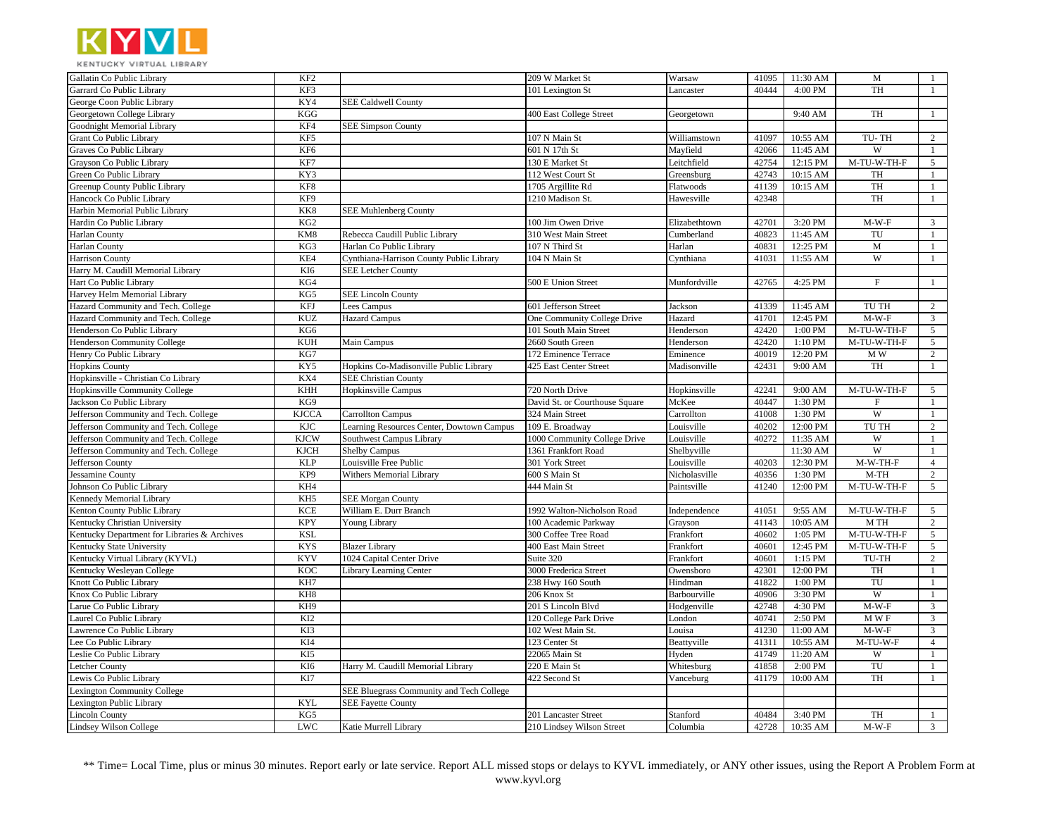

| Garrard Co Public Library<br>KF3<br>40444<br>4:00 PM<br><b>TH</b><br>101 Lexington St<br>Lancaster<br>1<br>George Coon Public Library<br>KY4<br><b>SEE Caldwell County</b><br>Georgetown College Library<br>KGG<br>400 East College Street<br>9:40 AM<br>TH<br>$\mathbf{1}$<br>Georgetown<br>Goodnight Memorial Library<br>KF4<br><b>SEE Simpson County</b><br>Grant Co Public Library<br>KF5<br>2<br>107 N Main St<br>41097<br>10:55 AM<br>TU-TH<br>Williamstown<br>KF <sub>6</sub><br>11:45 AM<br>W<br>Graves Co Public Library<br>601 N 17th St<br>Mayfield<br>42066<br>-1<br>Grayson Co Public Library<br>KF7<br>42754<br>M-TU-W-TH-F<br>5<br>130 E Market St<br>Leitchfield<br>12:15 PM<br>Green Co Public Library<br>KY3<br>42743<br>112 West Court St<br>Greensburg<br>10:15 AM<br>TH<br>$\mathbf{1}$<br>TH<br>KF8<br>41139<br>Greenup County Public Library<br>1705 Argillite Rd<br>10:15 AM<br>$\mathbf{1}$<br>Flatwoods<br>Hancock Co Public Library<br>TH<br>KF9<br>42348<br>1210 Madison St.<br>Hawesville<br>$\mathbf{1}$<br>Harbin Memorial Public Library<br>KK8<br><b>SEE Muhlenberg County</b><br>Hardin Co Public Library<br>KG <sub>2</sub><br>42701<br>3:20 PM<br>$M-W-F$<br>$\mathbf{3}$<br>100 Jim Owen Drive<br>Elizabethtown<br><b>Harlan County</b><br>KM8<br>Rebecca Caudill Public Library<br>310 West Main Street<br>40823<br>11:45 AM<br>TU<br>$\mathbf{1}$<br>Cumberland<br><b>Harlan County</b><br>KG3<br>107 N Third St<br>12:25 PM<br>$\mathbf M$<br>$\mathbf{1}$<br>Harlan Co Public Library<br>Harlan<br>40831<br><b>Harrison County</b><br>KE4<br>W<br>Cynthiana-Harrison County Public Library<br>104 N Main St<br>41031<br>11:55 AM<br>Cynthiana<br>1<br>Harry M. Caudill Memorial Library<br>KI6<br><b>SEE Letcher County</b><br>Hart Co Public Library<br>KG4<br>42765<br>4:25 PM<br>F<br>$\mathbf{1}$<br>500 E Union Street<br>Munfordville<br>Harvey Helm Memorial Library<br>KG5<br><b>SEE Lincoln County</b><br>Hazard Community and Tech. College<br>KFJ<br>41339<br>11:45 AM<br>TU TH<br>$\overline{2}$<br>Lees Campus<br>601 Jefferson Street<br>Jackson<br>Hazard Community and Tech. College<br><b>KUZ</b><br>$M-W-F$<br>$\mathfrak{Z}$<br><b>Hazard Campus</b><br>Hazard<br>41701<br>12:45 PM<br>One Community College Drive<br>Henderson Co Public Library<br>KG6<br>42420<br>M-TU-W-TH-F<br>5<br>101 South Main Street<br>Henderson<br>1:00 PM<br>42420<br>Henderson Community College<br><b>KUH</b><br>2660 South Green<br>1:10 PM<br>M-TU-W-TH-F<br>$5\overline{)}$<br>Main Campus<br>Henderson<br>Henry Co Public Library<br>KG7<br>$\overline{2}$<br>172 Eminence Terrace<br>40019<br>12:20 PM<br>M W<br>Eminence<br><b>Hopkins County</b><br>KY5<br>42431<br>9:00 AM<br>TH<br>$\mathbf{1}$<br>Hopkins Co-Madisonville Public Library<br>425 East Center Street<br>Madisonville<br>Hopkinsville - Christian Co Library<br>KX4<br><b>SEE Christian County</b><br>Hopkinsville Community College<br>KHH<br>42241<br>M-TU-W-TH-F<br>5<br>Hopkinsville Campus<br>720 North Drive<br>Hopkinsville<br>9:00 AM<br>Jackson Co Public Library<br>KG9<br>McKee<br>40447<br>$\mathbf{1}$<br>David St. or Courthouse Square<br>1:30 PM<br>$_{\rm F}$<br>$\overline{\mathbf{W}}$<br>Jefferson Community and Tech. College<br><b>KJCCA</b><br>41008<br><b>Carrollton Campus</b><br>324 Main Street<br>Carrollton<br>1:30 PM<br>-1<br><b>KJC</b><br>40202<br>12:00 PM<br>TU TH<br>$\overline{c}$<br>Jefferson Community and Tech. College<br>Learning Resources Center, Dowtown Campus<br>Louisville<br>109 E. Broadway<br>Jefferson Community and Tech. College<br><b>KJCW</b><br>Louisville<br>40272<br>11:35 AM<br>W<br>$\mathbf{1}$<br>Southwest Campus Library<br>1000 Community College Drive<br>W<br><b>KJCH</b><br>Jefferson Community and Tech. College<br><b>Shelby Campus</b><br>1361 Frankfort Road<br>Shelbyville<br>11:30 AM<br>$\mathbf{1}$<br>Jefferson County<br><b>KLP</b><br>40203<br>M-W-TH-F<br>$\overline{4}$<br>Louisville Free Public<br>301 York Street<br>Louisville<br>12:30 PM<br><b>Jessamine County</b><br>KP <sub>9</sub><br>$M-TH$<br>$\overline{c}$<br>Withers Memorial Library<br>600 S Main St<br>Nicholasville<br>40356<br>1:30 PM<br>Johnson Co Public Library<br>KH4<br>444 Main St<br>41240<br>12:00 PM<br>M-TU-W-TH-F<br>5<br>Paintsville<br>Kennedy Memorial Library<br>KH <sub>5</sub><br><b>SEE Morgan County</b><br>Kenton County Public Library<br><b>KCE</b><br>41051<br>M-TU-W-TH-F<br>William E. Durr Branch<br>1992 Walton-Nicholson Road<br>9:55 AM<br>5<br>Independence<br>Kentucky Christian University<br><b>KPY</b><br>$\sqrt{2}$<br>41143<br>10:05 AM<br>M TH<br>Young Library<br>100 Academic Parkway<br>Grayson<br>Kentucky Department for Libraries & Archives<br><b>KSL</b><br>40602<br>$\overline{M}$ -TU-W-TH-F<br>$5\overline{)}$<br>300 Coffee Tree Road<br>Frankfort<br>1:05 PM<br>Kentucky State University<br><b>KYS</b><br>40601<br>12:45 PM<br>M-TU-W-TH-F<br>5<br><b>Blazer Library</b><br>400 East Main Street<br>Frankfort<br>Kentucky Virtual Library (KYVL)<br><b>KYV</b><br>$\sqrt{2}$<br>1024 Capital Center Drive<br>40601<br>1:15 PM<br>TU-TH<br>Suite 320<br>Frankfort<br>Kentucky Wesleyan College<br><b>KOC</b><br>42301<br>12:00 PM<br>TH<br><b>Library Learning Center</b><br>3000 Frederica Street<br>Owensboro<br>$\mathbf{1}$<br>Knott Co Public Library<br>KH7<br>41822<br>$1:00$ $\mathrm{PM}$<br>TU<br>238 Hwy 160 South<br>Hindman<br>1<br>Knox Co Public Library<br>KH8<br>W<br>206 Knox St<br>Barbourville<br>40906<br>3:30 PM<br>$\mathbf{1}$<br>KH <sub>9</sub><br>42748<br>4:30 PM<br>$M-W-F$<br>3<br>arue Co Public Library<br>201 S Lincoln Blvd<br>Hodgenville<br>Laurel Co Public Library<br>KI <sub>2</sub><br>40741<br>MWF<br>$\overline{3}$<br>London<br>2:50 PM<br>120 College Park Drive | Gallatin Co Public Library    | KF <sub>2</sub> | 209 W Market St   | Warsaw | 41095 | 11:30 AM | M       | -1 |
|------------------------------------------------------------------------------------------------------------------------------------------------------------------------------------------------------------------------------------------------------------------------------------------------------------------------------------------------------------------------------------------------------------------------------------------------------------------------------------------------------------------------------------------------------------------------------------------------------------------------------------------------------------------------------------------------------------------------------------------------------------------------------------------------------------------------------------------------------------------------------------------------------------------------------------------------------------------------------------------------------------------------------------------------------------------------------------------------------------------------------------------------------------------------------------------------------------------------------------------------------------------------------------------------------------------------------------------------------------------------------------------------------------------------------------------------------------------------------------------------------------------------------------------------------------------------------------------------------------------------------------------------------------------------------------------------------------------------------------------------------------------------------------------------------------------------------------------------------------------------------------------------------------------------------------------------------------------------------------------------------------------------------------------------------------------------------------------------------------------------------------------------------------------------------------------------------------------------------------------------------------------------------------------------------------------------------------------------------------------------------------------------------------------------------------------------------------------------------------------------------------------------------------------------------------------------------------------------------------------------------------------------------------------------------------------------------------------------------------------------------------------------------------------------------------------------------------------------------------------------------------------------------------------------------------------------------------------------------------------------------------------------------------------------------------------------------------------------------------------------------------------------------------------------------------------------------------------------------------------------------------------------------------------------------------------------------------------------------------------------------------------------------------------------------------------------------------------------------------------------------------------------------------------------------------------------------------------------------------------------------------------------------------------------------------------------------------------------------------------------------------------------------------------------------------------------------------------------------------------------------------------------------------------------------------------------------------------------------------------------------------------------------------------------------------------------------------------------------------------------------------------------------------------------------------------------------------------------------------------------------------------------------------------------------------------------------------------------------------------------------------------------------------------------------------------------------------------------------------------------------------------------------------------------------------------------------------------------------------------------------------------------------------------------------------------------------------------------------------------------------------------------------------------------------------------------------------------------------------------------------------------------------------------------------------------------------------------------------------------------------------------------------------------------------------------------------------------------------------------------------------------------------------------------------------------------------------------------------------------------------------------------------------------------------------------------------------------------------------------------------------------------------------------------------------------------------------------------------------------------------------------------------------------------------------------------------------------------------------------------------------------------------------------------------------------------------------------------------------------------------------------------------------------------------------------------------------------|-------------------------------|-----------------|-------------------|--------|-------|----------|---------|----|
|                                                                                                                                                                                                                                                                                                                                                                                                                                                                                                                                                                                                                                                                                                                                                                                                                                                                                                                                                                                                                                                                                                                                                                                                                                                                                                                                                                                                                                                                                                                                                                                                                                                                                                                                                                                                                                                                                                                                                                                                                                                                                                                                                                                                                                                                                                                                                                                                                                                                                                                                                                                                                                                                                                                                                                                                                                                                                                                                                                                                                                                                                                                                                                                                                                                                                                                                                                                                                                                                                                                                                                                                                                                                                                                                                                                                                                                                                                                                                                                                                                                                                                                                                                                                                                                                                                                                                                                                                                                                                                                                                                                                                                                                                                                                                                                                                                                                                                                                                                                                                                                                                                                                                                                                                                                                                                                                                                                                                                                                                                                                                                                                                                                                                                                                                                                                                                          |                               |                 |                   |        |       |          |         |    |
|                                                                                                                                                                                                                                                                                                                                                                                                                                                                                                                                                                                                                                                                                                                                                                                                                                                                                                                                                                                                                                                                                                                                                                                                                                                                                                                                                                                                                                                                                                                                                                                                                                                                                                                                                                                                                                                                                                                                                                                                                                                                                                                                                                                                                                                                                                                                                                                                                                                                                                                                                                                                                                                                                                                                                                                                                                                                                                                                                                                                                                                                                                                                                                                                                                                                                                                                                                                                                                                                                                                                                                                                                                                                                                                                                                                                                                                                                                                                                                                                                                                                                                                                                                                                                                                                                                                                                                                                                                                                                                                                                                                                                                                                                                                                                                                                                                                                                                                                                                                                                                                                                                                                                                                                                                                                                                                                                                                                                                                                                                                                                                                                                                                                                                                                                                                                                                          |                               |                 |                   |        |       |          |         |    |
|                                                                                                                                                                                                                                                                                                                                                                                                                                                                                                                                                                                                                                                                                                                                                                                                                                                                                                                                                                                                                                                                                                                                                                                                                                                                                                                                                                                                                                                                                                                                                                                                                                                                                                                                                                                                                                                                                                                                                                                                                                                                                                                                                                                                                                                                                                                                                                                                                                                                                                                                                                                                                                                                                                                                                                                                                                                                                                                                                                                                                                                                                                                                                                                                                                                                                                                                                                                                                                                                                                                                                                                                                                                                                                                                                                                                                                                                                                                                                                                                                                                                                                                                                                                                                                                                                                                                                                                                                                                                                                                                                                                                                                                                                                                                                                                                                                                                                                                                                                                                                                                                                                                                                                                                                                                                                                                                                                                                                                                                                                                                                                                                                                                                                                                                                                                                                                          |                               |                 |                   |        |       |          |         |    |
|                                                                                                                                                                                                                                                                                                                                                                                                                                                                                                                                                                                                                                                                                                                                                                                                                                                                                                                                                                                                                                                                                                                                                                                                                                                                                                                                                                                                                                                                                                                                                                                                                                                                                                                                                                                                                                                                                                                                                                                                                                                                                                                                                                                                                                                                                                                                                                                                                                                                                                                                                                                                                                                                                                                                                                                                                                                                                                                                                                                                                                                                                                                                                                                                                                                                                                                                                                                                                                                                                                                                                                                                                                                                                                                                                                                                                                                                                                                                                                                                                                                                                                                                                                                                                                                                                                                                                                                                                                                                                                                                                                                                                                                                                                                                                                                                                                                                                                                                                                                                                                                                                                                                                                                                                                                                                                                                                                                                                                                                                                                                                                                                                                                                                                                                                                                                                                          |                               |                 |                   |        |       |          |         |    |
|                                                                                                                                                                                                                                                                                                                                                                                                                                                                                                                                                                                                                                                                                                                                                                                                                                                                                                                                                                                                                                                                                                                                                                                                                                                                                                                                                                                                                                                                                                                                                                                                                                                                                                                                                                                                                                                                                                                                                                                                                                                                                                                                                                                                                                                                                                                                                                                                                                                                                                                                                                                                                                                                                                                                                                                                                                                                                                                                                                                                                                                                                                                                                                                                                                                                                                                                                                                                                                                                                                                                                                                                                                                                                                                                                                                                                                                                                                                                                                                                                                                                                                                                                                                                                                                                                                                                                                                                                                                                                                                                                                                                                                                                                                                                                                                                                                                                                                                                                                                                                                                                                                                                                                                                                                                                                                                                                                                                                                                                                                                                                                                                                                                                                                                                                                                                                                          |                               |                 |                   |        |       |          |         |    |
|                                                                                                                                                                                                                                                                                                                                                                                                                                                                                                                                                                                                                                                                                                                                                                                                                                                                                                                                                                                                                                                                                                                                                                                                                                                                                                                                                                                                                                                                                                                                                                                                                                                                                                                                                                                                                                                                                                                                                                                                                                                                                                                                                                                                                                                                                                                                                                                                                                                                                                                                                                                                                                                                                                                                                                                                                                                                                                                                                                                                                                                                                                                                                                                                                                                                                                                                                                                                                                                                                                                                                                                                                                                                                                                                                                                                                                                                                                                                                                                                                                                                                                                                                                                                                                                                                                                                                                                                                                                                                                                                                                                                                                                                                                                                                                                                                                                                                                                                                                                                                                                                                                                                                                                                                                                                                                                                                                                                                                                                                                                                                                                                                                                                                                                                                                                                                                          |                               |                 |                   |        |       |          |         |    |
|                                                                                                                                                                                                                                                                                                                                                                                                                                                                                                                                                                                                                                                                                                                                                                                                                                                                                                                                                                                                                                                                                                                                                                                                                                                                                                                                                                                                                                                                                                                                                                                                                                                                                                                                                                                                                                                                                                                                                                                                                                                                                                                                                                                                                                                                                                                                                                                                                                                                                                                                                                                                                                                                                                                                                                                                                                                                                                                                                                                                                                                                                                                                                                                                                                                                                                                                                                                                                                                                                                                                                                                                                                                                                                                                                                                                                                                                                                                                                                                                                                                                                                                                                                                                                                                                                                                                                                                                                                                                                                                                                                                                                                                                                                                                                                                                                                                                                                                                                                                                                                                                                                                                                                                                                                                                                                                                                                                                                                                                                                                                                                                                                                                                                                                                                                                                                                          |                               |                 |                   |        |       |          |         |    |
|                                                                                                                                                                                                                                                                                                                                                                                                                                                                                                                                                                                                                                                                                                                                                                                                                                                                                                                                                                                                                                                                                                                                                                                                                                                                                                                                                                                                                                                                                                                                                                                                                                                                                                                                                                                                                                                                                                                                                                                                                                                                                                                                                                                                                                                                                                                                                                                                                                                                                                                                                                                                                                                                                                                                                                                                                                                                                                                                                                                                                                                                                                                                                                                                                                                                                                                                                                                                                                                                                                                                                                                                                                                                                                                                                                                                                                                                                                                                                                                                                                                                                                                                                                                                                                                                                                                                                                                                                                                                                                                                                                                                                                                                                                                                                                                                                                                                                                                                                                                                                                                                                                                                                                                                                                                                                                                                                                                                                                                                                                                                                                                                                                                                                                                                                                                                                                          |                               |                 |                   |        |       |          |         |    |
|                                                                                                                                                                                                                                                                                                                                                                                                                                                                                                                                                                                                                                                                                                                                                                                                                                                                                                                                                                                                                                                                                                                                                                                                                                                                                                                                                                                                                                                                                                                                                                                                                                                                                                                                                                                                                                                                                                                                                                                                                                                                                                                                                                                                                                                                                                                                                                                                                                                                                                                                                                                                                                                                                                                                                                                                                                                                                                                                                                                                                                                                                                                                                                                                                                                                                                                                                                                                                                                                                                                                                                                                                                                                                                                                                                                                                                                                                                                                                                                                                                                                                                                                                                                                                                                                                                                                                                                                                                                                                                                                                                                                                                                                                                                                                                                                                                                                                                                                                                                                                                                                                                                                                                                                                                                                                                                                                                                                                                                                                                                                                                                                                                                                                                                                                                                                                                          |                               |                 |                   |        |       |          |         |    |
|                                                                                                                                                                                                                                                                                                                                                                                                                                                                                                                                                                                                                                                                                                                                                                                                                                                                                                                                                                                                                                                                                                                                                                                                                                                                                                                                                                                                                                                                                                                                                                                                                                                                                                                                                                                                                                                                                                                                                                                                                                                                                                                                                                                                                                                                                                                                                                                                                                                                                                                                                                                                                                                                                                                                                                                                                                                                                                                                                                                                                                                                                                                                                                                                                                                                                                                                                                                                                                                                                                                                                                                                                                                                                                                                                                                                                                                                                                                                                                                                                                                                                                                                                                                                                                                                                                                                                                                                                                                                                                                                                                                                                                                                                                                                                                                                                                                                                                                                                                                                                                                                                                                                                                                                                                                                                                                                                                                                                                                                                                                                                                                                                                                                                                                                                                                                                                          |                               |                 |                   |        |       |          |         |    |
|                                                                                                                                                                                                                                                                                                                                                                                                                                                                                                                                                                                                                                                                                                                                                                                                                                                                                                                                                                                                                                                                                                                                                                                                                                                                                                                                                                                                                                                                                                                                                                                                                                                                                                                                                                                                                                                                                                                                                                                                                                                                                                                                                                                                                                                                                                                                                                                                                                                                                                                                                                                                                                                                                                                                                                                                                                                                                                                                                                                                                                                                                                                                                                                                                                                                                                                                                                                                                                                                                                                                                                                                                                                                                                                                                                                                                                                                                                                                                                                                                                                                                                                                                                                                                                                                                                                                                                                                                                                                                                                                                                                                                                                                                                                                                                                                                                                                                                                                                                                                                                                                                                                                                                                                                                                                                                                                                                                                                                                                                                                                                                                                                                                                                                                                                                                                                                          |                               |                 |                   |        |       |          |         |    |
|                                                                                                                                                                                                                                                                                                                                                                                                                                                                                                                                                                                                                                                                                                                                                                                                                                                                                                                                                                                                                                                                                                                                                                                                                                                                                                                                                                                                                                                                                                                                                                                                                                                                                                                                                                                                                                                                                                                                                                                                                                                                                                                                                                                                                                                                                                                                                                                                                                                                                                                                                                                                                                                                                                                                                                                                                                                                                                                                                                                                                                                                                                                                                                                                                                                                                                                                                                                                                                                                                                                                                                                                                                                                                                                                                                                                                                                                                                                                                                                                                                                                                                                                                                                                                                                                                                                                                                                                                                                                                                                                                                                                                                                                                                                                                                                                                                                                                                                                                                                                                                                                                                                                                                                                                                                                                                                                                                                                                                                                                                                                                                                                                                                                                                                                                                                                                                          |                               |                 |                   |        |       |          |         |    |
|                                                                                                                                                                                                                                                                                                                                                                                                                                                                                                                                                                                                                                                                                                                                                                                                                                                                                                                                                                                                                                                                                                                                                                                                                                                                                                                                                                                                                                                                                                                                                                                                                                                                                                                                                                                                                                                                                                                                                                                                                                                                                                                                                                                                                                                                                                                                                                                                                                                                                                                                                                                                                                                                                                                                                                                                                                                                                                                                                                                                                                                                                                                                                                                                                                                                                                                                                                                                                                                                                                                                                                                                                                                                                                                                                                                                                                                                                                                                                                                                                                                                                                                                                                                                                                                                                                                                                                                                                                                                                                                                                                                                                                                                                                                                                                                                                                                                                                                                                                                                                                                                                                                                                                                                                                                                                                                                                                                                                                                                                                                                                                                                                                                                                                                                                                                                                                          |                               |                 |                   |        |       |          |         |    |
|                                                                                                                                                                                                                                                                                                                                                                                                                                                                                                                                                                                                                                                                                                                                                                                                                                                                                                                                                                                                                                                                                                                                                                                                                                                                                                                                                                                                                                                                                                                                                                                                                                                                                                                                                                                                                                                                                                                                                                                                                                                                                                                                                                                                                                                                                                                                                                                                                                                                                                                                                                                                                                                                                                                                                                                                                                                                                                                                                                                                                                                                                                                                                                                                                                                                                                                                                                                                                                                                                                                                                                                                                                                                                                                                                                                                                                                                                                                                                                                                                                                                                                                                                                                                                                                                                                                                                                                                                                                                                                                                                                                                                                                                                                                                                                                                                                                                                                                                                                                                                                                                                                                                                                                                                                                                                                                                                                                                                                                                                                                                                                                                                                                                                                                                                                                                                                          |                               |                 |                   |        |       |          |         |    |
|                                                                                                                                                                                                                                                                                                                                                                                                                                                                                                                                                                                                                                                                                                                                                                                                                                                                                                                                                                                                                                                                                                                                                                                                                                                                                                                                                                                                                                                                                                                                                                                                                                                                                                                                                                                                                                                                                                                                                                                                                                                                                                                                                                                                                                                                                                                                                                                                                                                                                                                                                                                                                                                                                                                                                                                                                                                                                                                                                                                                                                                                                                                                                                                                                                                                                                                                                                                                                                                                                                                                                                                                                                                                                                                                                                                                                                                                                                                                                                                                                                                                                                                                                                                                                                                                                                                                                                                                                                                                                                                                                                                                                                                                                                                                                                                                                                                                                                                                                                                                                                                                                                                                                                                                                                                                                                                                                                                                                                                                                                                                                                                                                                                                                                                                                                                                                                          |                               |                 |                   |        |       |          |         |    |
|                                                                                                                                                                                                                                                                                                                                                                                                                                                                                                                                                                                                                                                                                                                                                                                                                                                                                                                                                                                                                                                                                                                                                                                                                                                                                                                                                                                                                                                                                                                                                                                                                                                                                                                                                                                                                                                                                                                                                                                                                                                                                                                                                                                                                                                                                                                                                                                                                                                                                                                                                                                                                                                                                                                                                                                                                                                                                                                                                                                                                                                                                                                                                                                                                                                                                                                                                                                                                                                                                                                                                                                                                                                                                                                                                                                                                                                                                                                                                                                                                                                                                                                                                                                                                                                                                                                                                                                                                                                                                                                                                                                                                                                                                                                                                                                                                                                                                                                                                                                                                                                                                                                                                                                                                                                                                                                                                                                                                                                                                                                                                                                                                                                                                                                                                                                                                                          |                               |                 |                   |        |       |          |         |    |
|                                                                                                                                                                                                                                                                                                                                                                                                                                                                                                                                                                                                                                                                                                                                                                                                                                                                                                                                                                                                                                                                                                                                                                                                                                                                                                                                                                                                                                                                                                                                                                                                                                                                                                                                                                                                                                                                                                                                                                                                                                                                                                                                                                                                                                                                                                                                                                                                                                                                                                                                                                                                                                                                                                                                                                                                                                                                                                                                                                                                                                                                                                                                                                                                                                                                                                                                                                                                                                                                                                                                                                                                                                                                                                                                                                                                                                                                                                                                                                                                                                                                                                                                                                                                                                                                                                                                                                                                                                                                                                                                                                                                                                                                                                                                                                                                                                                                                                                                                                                                                                                                                                                                                                                                                                                                                                                                                                                                                                                                                                                                                                                                                                                                                                                                                                                                                                          |                               |                 |                   |        |       |          |         |    |
|                                                                                                                                                                                                                                                                                                                                                                                                                                                                                                                                                                                                                                                                                                                                                                                                                                                                                                                                                                                                                                                                                                                                                                                                                                                                                                                                                                                                                                                                                                                                                                                                                                                                                                                                                                                                                                                                                                                                                                                                                                                                                                                                                                                                                                                                                                                                                                                                                                                                                                                                                                                                                                                                                                                                                                                                                                                                                                                                                                                                                                                                                                                                                                                                                                                                                                                                                                                                                                                                                                                                                                                                                                                                                                                                                                                                                                                                                                                                                                                                                                                                                                                                                                                                                                                                                                                                                                                                                                                                                                                                                                                                                                                                                                                                                                                                                                                                                                                                                                                                                                                                                                                                                                                                                                                                                                                                                                                                                                                                                                                                                                                                                                                                                                                                                                                                                                          |                               |                 |                   |        |       |          |         |    |
|                                                                                                                                                                                                                                                                                                                                                                                                                                                                                                                                                                                                                                                                                                                                                                                                                                                                                                                                                                                                                                                                                                                                                                                                                                                                                                                                                                                                                                                                                                                                                                                                                                                                                                                                                                                                                                                                                                                                                                                                                                                                                                                                                                                                                                                                                                                                                                                                                                                                                                                                                                                                                                                                                                                                                                                                                                                                                                                                                                                                                                                                                                                                                                                                                                                                                                                                                                                                                                                                                                                                                                                                                                                                                                                                                                                                                                                                                                                                                                                                                                                                                                                                                                                                                                                                                                                                                                                                                                                                                                                                                                                                                                                                                                                                                                                                                                                                                                                                                                                                                                                                                                                                                                                                                                                                                                                                                                                                                                                                                                                                                                                                                                                                                                                                                                                                                                          |                               |                 |                   |        |       |          |         |    |
|                                                                                                                                                                                                                                                                                                                                                                                                                                                                                                                                                                                                                                                                                                                                                                                                                                                                                                                                                                                                                                                                                                                                                                                                                                                                                                                                                                                                                                                                                                                                                                                                                                                                                                                                                                                                                                                                                                                                                                                                                                                                                                                                                                                                                                                                                                                                                                                                                                                                                                                                                                                                                                                                                                                                                                                                                                                                                                                                                                                                                                                                                                                                                                                                                                                                                                                                                                                                                                                                                                                                                                                                                                                                                                                                                                                                                                                                                                                                                                                                                                                                                                                                                                                                                                                                                                                                                                                                                                                                                                                                                                                                                                                                                                                                                                                                                                                                                                                                                                                                                                                                                                                                                                                                                                                                                                                                                                                                                                                                                                                                                                                                                                                                                                                                                                                                                                          |                               |                 |                   |        |       |          |         |    |
|                                                                                                                                                                                                                                                                                                                                                                                                                                                                                                                                                                                                                                                                                                                                                                                                                                                                                                                                                                                                                                                                                                                                                                                                                                                                                                                                                                                                                                                                                                                                                                                                                                                                                                                                                                                                                                                                                                                                                                                                                                                                                                                                                                                                                                                                                                                                                                                                                                                                                                                                                                                                                                                                                                                                                                                                                                                                                                                                                                                                                                                                                                                                                                                                                                                                                                                                                                                                                                                                                                                                                                                                                                                                                                                                                                                                                                                                                                                                                                                                                                                                                                                                                                                                                                                                                                                                                                                                                                                                                                                                                                                                                                                                                                                                                                                                                                                                                                                                                                                                                                                                                                                                                                                                                                                                                                                                                                                                                                                                                                                                                                                                                                                                                                                                                                                                                                          |                               |                 |                   |        |       |          |         |    |
|                                                                                                                                                                                                                                                                                                                                                                                                                                                                                                                                                                                                                                                                                                                                                                                                                                                                                                                                                                                                                                                                                                                                                                                                                                                                                                                                                                                                                                                                                                                                                                                                                                                                                                                                                                                                                                                                                                                                                                                                                                                                                                                                                                                                                                                                                                                                                                                                                                                                                                                                                                                                                                                                                                                                                                                                                                                                                                                                                                                                                                                                                                                                                                                                                                                                                                                                                                                                                                                                                                                                                                                                                                                                                                                                                                                                                                                                                                                                                                                                                                                                                                                                                                                                                                                                                                                                                                                                                                                                                                                                                                                                                                                                                                                                                                                                                                                                                                                                                                                                                                                                                                                                                                                                                                                                                                                                                                                                                                                                                                                                                                                                                                                                                                                                                                                                                                          |                               |                 |                   |        |       |          |         |    |
|                                                                                                                                                                                                                                                                                                                                                                                                                                                                                                                                                                                                                                                                                                                                                                                                                                                                                                                                                                                                                                                                                                                                                                                                                                                                                                                                                                                                                                                                                                                                                                                                                                                                                                                                                                                                                                                                                                                                                                                                                                                                                                                                                                                                                                                                                                                                                                                                                                                                                                                                                                                                                                                                                                                                                                                                                                                                                                                                                                                                                                                                                                                                                                                                                                                                                                                                                                                                                                                                                                                                                                                                                                                                                                                                                                                                                                                                                                                                                                                                                                                                                                                                                                                                                                                                                                                                                                                                                                                                                                                                                                                                                                                                                                                                                                                                                                                                                                                                                                                                                                                                                                                                                                                                                                                                                                                                                                                                                                                                                                                                                                                                                                                                                                                                                                                                                                          |                               |                 |                   |        |       |          |         |    |
|                                                                                                                                                                                                                                                                                                                                                                                                                                                                                                                                                                                                                                                                                                                                                                                                                                                                                                                                                                                                                                                                                                                                                                                                                                                                                                                                                                                                                                                                                                                                                                                                                                                                                                                                                                                                                                                                                                                                                                                                                                                                                                                                                                                                                                                                                                                                                                                                                                                                                                                                                                                                                                                                                                                                                                                                                                                                                                                                                                                                                                                                                                                                                                                                                                                                                                                                                                                                                                                                                                                                                                                                                                                                                                                                                                                                                                                                                                                                                                                                                                                                                                                                                                                                                                                                                                                                                                                                                                                                                                                                                                                                                                                                                                                                                                                                                                                                                                                                                                                                                                                                                                                                                                                                                                                                                                                                                                                                                                                                                                                                                                                                                                                                                                                                                                                                                                          |                               |                 |                   |        |       |          |         |    |
|                                                                                                                                                                                                                                                                                                                                                                                                                                                                                                                                                                                                                                                                                                                                                                                                                                                                                                                                                                                                                                                                                                                                                                                                                                                                                                                                                                                                                                                                                                                                                                                                                                                                                                                                                                                                                                                                                                                                                                                                                                                                                                                                                                                                                                                                                                                                                                                                                                                                                                                                                                                                                                                                                                                                                                                                                                                                                                                                                                                                                                                                                                                                                                                                                                                                                                                                                                                                                                                                                                                                                                                                                                                                                                                                                                                                                                                                                                                                                                                                                                                                                                                                                                                                                                                                                                                                                                                                                                                                                                                                                                                                                                                                                                                                                                                                                                                                                                                                                                                                                                                                                                                                                                                                                                                                                                                                                                                                                                                                                                                                                                                                                                                                                                                                                                                                                                          |                               |                 |                   |        |       |          |         |    |
|                                                                                                                                                                                                                                                                                                                                                                                                                                                                                                                                                                                                                                                                                                                                                                                                                                                                                                                                                                                                                                                                                                                                                                                                                                                                                                                                                                                                                                                                                                                                                                                                                                                                                                                                                                                                                                                                                                                                                                                                                                                                                                                                                                                                                                                                                                                                                                                                                                                                                                                                                                                                                                                                                                                                                                                                                                                                                                                                                                                                                                                                                                                                                                                                                                                                                                                                                                                                                                                                                                                                                                                                                                                                                                                                                                                                                                                                                                                                                                                                                                                                                                                                                                                                                                                                                                                                                                                                                                                                                                                                                                                                                                                                                                                                                                                                                                                                                                                                                                                                                                                                                                                                                                                                                                                                                                                                                                                                                                                                                                                                                                                                                                                                                                                                                                                                                                          |                               |                 |                   |        |       |          |         |    |
|                                                                                                                                                                                                                                                                                                                                                                                                                                                                                                                                                                                                                                                                                                                                                                                                                                                                                                                                                                                                                                                                                                                                                                                                                                                                                                                                                                                                                                                                                                                                                                                                                                                                                                                                                                                                                                                                                                                                                                                                                                                                                                                                                                                                                                                                                                                                                                                                                                                                                                                                                                                                                                                                                                                                                                                                                                                                                                                                                                                                                                                                                                                                                                                                                                                                                                                                                                                                                                                                                                                                                                                                                                                                                                                                                                                                                                                                                                                                                                                                                                                                                                                                                                                                                                                                                                                                                                                                                                                                                                                                                                                                                                                                                                                                                                                                                                                                                                                                                                                                                                                                                                                                                                                                                                                                                                                                                                                                                                                                                                                                                                                                                                                                                                                                                                                                                                          |                               |                 |                   |        |       |          |         |    |
|                                                                                                                                                                                                                                                                                                                                                                                                                                                                                                                                                                                                                                                                                                                                                                                                                                                                                                                                                                                                                                                                                                                                                                                                                                                                                                                                                                                                                                                                                                                                                                                                                                                                                                                                                                                                                                                                                                                                                                                                                                                                                                                                                                                                                                                                                                                                                                                                                                                                                                                                                                                                                                                                                                                                                                                                                                                                                                                                                                                                                                                                                                                                                                                                                                                                                                                                                                                                                                                                                                                                                                                                                                                                                                                                                                                                                                                                                                                                                                                                                                                                                                                                                                                                                                                                                                                                                                                                                                                                                                                                                                                                                                                                                                                                                                                                                                                                                                                                                                                                                                                                                                                                                                                                                                                                                                                                                                                                                                                                                                                                                                                                                                                                                                                                                                                                                                          |                               |                 |                   |        |       |          |         |    |
|                                                                                                                                                                                                                                                                                                                                                                                                                                                                                                                                                                                                                                                                                                                                                                                                                                                                                                                                                                                                                                                                                                                                                                                                                                                                                                                                                                                                                                                                                                                                                                                                                                                                                                                                                                                                                                                                                                                                                                                                                                                                                                                                                                                                                                                                                                                                                                                                                                                                                                                                                                                                                                                                                                                                                                                                                                                                                                                                                                                                                                                                                                                                                                                                                                                                                                                                                                                                                                                                                                                                                                                                                                                                                                                                                                                                                                                                                                                                                                                                                                                                                                                                                                                                                                                                                                                                                                                                                                                                                                                                                                                                                                                                                                                                                                                                                                                                                                                                                                                                                                                                                                                                                                                                                                                                                                                                                                                                                                                                                                                                                                                                                                                                                                                                                                                                                                          |                               |                 |                   |        |       |          |         |    |
|                                                                                                                                                                                                                                                                                                                                                                                                                                                                                                                                                                                                                                                                                                                                                                                                                                                                                                                                                                                                                                                                                                                                                                                                                                                                                                                                                                                                                                                                                                                                                                                                                                                                                                                                                                                                                                                                                                                                                                                                                                                                                                                                                                                                                                                                                                                                                                                                                                                                                                                                                                                                                                                                                                                                                                                                                                                                                                                                                                                                                                                                                                                                                                                                                                                                                                                                                                                                                                                                                                                                                                                                                                                                                                                                                                                                                                                                                                                                                                                                                                                                                                                                                                                                                                                                                                                                                                                                                                                                                                                                                                                                                                                                                                                                                                                                                                                                                                                                                                                                                                                                                                                                                                                                                                                                                                                                                                                                                                                                                                                                                                                                                                                                                                                                                                                                                                          |                               |                 |                   |        |       |          |         |    |
|                                                                                                                                                                                                                                                                                                                                                                                                                                                                                                                                                                                                                                                                                                                                                                                                                                                                                                                                                                                                                                                                                                                                                                                                                                                                                                                                                                                                                                                                                                                                                                                                                                                                                                                                                                                                                                                                                                                                                                                                                                                                                                                                                                                                                                                                                                                                                                                                                                                                                                                                                                                                                                                                                                                                                                                                                                                                                                                                                                                                                                                                                                                                                                                                                                                                                                                                                                                                                                                                                                                                                                                                                                                                                                                                                                                                                                                                                                                                                                                                                                                                                                                                                                                                                                                                                                                                                                                                                                                                                                                                                                                                                                                                                                                                                                                                                                                                                                                                                                                                                                                                                                                                                                                                                                                                                                                                                                                                                                                                                                                                                                                                                                                                                                                                                                                                                                          |                               |                 |                   |        |       |          |         |    |
|                                                                                                                                                                                                                                                                                                                                                                                                                                                                                                                                                                                                                                                                                                                                                                                                                                                                                                                                                                                                                                                                                                                                                                                                                                                                                                                                                                                                                                                                                                                                                                                                                                                                                                                                                                                                                                                                                                                                                                                                                                                                                                                                                                                                                                                                                                                                                                                                                                                                                                                                                                                                                                                                                                                                                                                                                                                                                                                                                                                                                                                                                                                                                                                                                                                                                                                                                                                                                                                                                                                                                                                                                                                                                                                                                                                                                                                                                                                                                                                                                                                                                                                                                                                                                                                                                                                                                                                                                                                                                                                                                                                                                                                                                                                                                                                                                                                                                                                                                                                                                                                                                                                                                                                                                                                                                                                                                                                                                                                                                                                                                                                                                                                                                                                                                                                                                                          |                               |                 |                   |        |       |          |         |    |
|                                                                                                                                                                                                                                                                                                                                                                                                                                                                                                                                                                                                                                                                                                                                                                                                                                                                                                                                                                                                                                                                                                                                                                                                                                                                                                                                                                                                                                                                                                                                                                                                                                                                                                                                                                                                                                                                                                                                                                                                                                                                                                                                                                                                                                                                                                                                                                                                                                                                                                                                                                                                                                                                                                                                                                                                                                                                                                                                                                                                                                                                                                                                                                                                                                                                                                                                                                                                                                                                                                                                                                                                                                                                                                                                                                                                                                                                                                                                                                                                                                                                                                                                                                                                                                                                                                                                                                                                                                                                                                                                                                                                                                                                                                                                                                                                                                                                                                                                                                                                                                                                                                                                                                                                                                                                                                                                                                                                                                                                                                                                                                                                                                                                                                                                                                                                                                          |                               |                 |                   |        |       |          |         |    |
|                                                                                                                                                                                                                                                                                                                                                                                                                                                                                                                                                                                                                                                                                                                                                                                                                                                                                                                                                                                                                                                                                                                                                                                                                                                                                                                                                                                                                                                                                                                                                                                                                                                                                                                                                                                                                                                                                                                                                                                                                                                                                                                                                                                                                                                                                                                                                                                                                                                                                                                                                                                                                                                                                                                                                                                                                                                                                                                                                                                                                                                                                                                                                                                                                                                                                                                                                                                                                                                                                                                                                                                                                                                                                                                                                                                                                                                                                                                                                                                                                                                                                                                                                                                                                                                                                                                                                                                                                                                                                                                                                                                                                                                                                                                                                                                                                                                                                                                                                                                                                                                                                                                                                                                                                                                                                                                                                                                                                                                                                                                                                                                                                                                                                                                                                                                                                                          |                               |                 |                   |        |       |          |         |    |
|                                                                                                                                                                                                                                                                                                                                                                                                                                                                                                                                                                                                                                                                                                                                                                                                                                                                                                                                                                                                                                                                                                                                                                                                                                                                                                                                                                                                                                                                                                                                                                                                                                                                                                                                                                                                                                                                                                                                                                                                                                                                                                                                                                                                                                                                                                                                                                                                                                                                                                                                                                                                                                                                                                                                                                                                                                                                                                                                                                                                                                                                                                                                                                                                                                                                                                                                                                                                                                                                                                                                                                                                                                                                                                                                                                                                                                                                                                                                                                                                                                                                                                                                                                                                                                                                                                                                                                                                                                                                                                                                                                                                                                                                                                                                                                                                                                                                                                                                                                                                                                                                                                                                                                                                                                                                                                                                                                                                                                                                                                                                                                                                                                                                                                                                                                                                                                          |                               |                 |                   |        |       |          |         |    |
|                                                                                                                                                                                                                                                                                                                                                                                                                                                                                                                                                                                                                                                                                                                                                                                                                                                                                                                                                                                                                                                                                                                                                                                                                                                                                                                                                                                                                                                                                                                                                                                                                                                                                                                                                                                                                                                                                                                                                                                                                                                                                                                                                                                                                                                                                                                                                                                                                                                                                                                                                                                                                                                                                                                                                                                                                                                                                                                                                                                                                                                                                                                                                                                                                                                                                                                                                                                                                                                                                                                                                                                                                                                                                                                                                                                                                                                                                                                                                                                                                                                                                                                                                                                                                                                                                                                                                                                                                                                                                                                                                                                                                                                                                                                                                                                                                                                                                                                                                                                                                                                                                                                                                                                                                                                                                                                                                                                                                                                                                                                                                                                                                                                                                                                                                                                                                                          |                               |                 |                   |        |       |          |         |    |
|                                                                                                                                                                                                                                                                                                                                                                                                                                                                                                                                                                                                                                                                                                                                                                                                                                                                                                                                                                                                                                                                                                                                                                                                                                                                                                                                                                                                                                                                                                                                                                                                                                                                                                                                                                                                                                                                                                                                                                                                                                                                                                                                                                                                                                                                                                                                                                                                                                                                                                                                                                                                                                                                                                                                                                                                                                                                                                                                                                                                                                                                                                                                                                                                                                                                                                                                                                                                                                                                                                                                                                                                                                                                                                                                                                                                                                                                                                                                                                                                                                                                                                                                                                                                                                                                                                                                                                                                                                                                                                                                                                                                                                                                                                                                                                                                                                                                                                                                                                                                                                                                                                                                                                                                                                                                                                                                                                                                                                                                                                                                                                                                                                                                                                                                                                                                                                          |                               |                 |                   |        |       |          |         |    |
|                                                                                                                                                                                                                                                                                                                                                                                                                                                                                                                                                                                                                                                                                                                                                                                                                                                                                                                                                                                                                                                                                                                                                                                                                                                                                                                                                                                                                                                                                                                                                                                                                                                                                                                                                                                                                                                                                                                                                                                                                                                                                                                                                                                                                                                                                                                                                                                                                                                                                                                                                                                                                                                                                                                                                                                                                                                                                                                                                                                                                                                                                                                                                                                                                                                                                                                                                                                                                                                                                                                                                                                                                                                                                                                                                                                                                                                                                                                                                                                                                                                                                                                                                                                                                                                                                                                                                                                                                                                                                                                                                                                                                                                                                                                                                                                                                                                                                                                                                                                                                                                                                                                                                                                                                                                                                                                                                                                                                                                                                                                                                                                                                                                                                                                                                                                                                                          |                               |                 |                   |        |       |          |         |    |
|                                                                                                                                                                                                                                                                                                                                                                                                                                                                                                                                                                                                                                                                                                                                                                                                                                                                                                                                                                                                                                                                                                                                                                                                                                                                                                                                                                                                                                                                                                                                                                                                                                                                                                                                                                                                                                                                                                                                                                                                                                                                                                                                                                                                                                                                                                                                                                                                                                                                                                                                                                                                                                                                                                                                                                                                                                                                                                                                                                                                                                                                                                                                                                                                                                                                                                                                                                                                                                                                                                                                                                                                                                                                                                                                                                                                                                                                                                                                                                                                                                                                                                                                                                                                                                                                                                                                                                                                                                                                                                                                                                                                                                                                                                                                                                                                                                                                                                                                                                                                                                                                                                                                                                                                                                                                                                                                                                                                                                                                                                                                                                                                                                                                                                                                                                                                                                          |                               |                 |                   |        |       |          |         |    |
|                                                                                                                                                                                                                                                                                                                                                                                                                                                                                                                                                                                                                                                                                                                                                                                                                                                                                                                                                                                                                                                                                                                                                                                                                                                                                                                                                                                                                                                                                                                                                                                                                                                                                                                                                                                                                                                                                                                                                                                                                                                                                                                                                                                                                                                                                                                                                                                                                                                                                                                                                                                                                                                                                                                                                                                                                                                                                                                                                                                                                                                                                                                                                                                                                                                                                                                                                                                                                                                                                                                                                                                                                                                                                                                                                                                                                                                                                                                                                                                                                                                                                                                                                                                                                                                                                                                                                                                                                                                                                                                                                                                                                                                                                                                                                                                                                                                                                                                                                                                                                                                                                                                                                                                                                                                                                                                                                                                                                                                                                                                                                                                                                                                                                                                                                                                                                                          |                               |                 |                   |        |       |          |         |    |
|                                                                                                                                                                                                                                                                                                                                                                                                                                                                                                                                                                                                                                                                                                                                                                                                                                                                                                                                                                                                                                                                                                                                                                                                                                                                                                                                                                                                                                                                                                                                                                                                                                                                                                                                                                                                                                                                                                                                                                                                                                                                                                                                                                                                                                                                                                                                                                                                                                                                                                                                                                                                                                                                                                                                                                                                                                                                                                                                                                                                                                                                                                                                                                                                                                                                                                                                                                                                                                                                                                                                                                                                                                                                                                                                                                                                                                                                                                                                                                                                                                                                                                                                                                                                                                                                                                                                                                                                                                                                                                                                                                                                                                                                                                                                                                                                                                                                                                                                                                                                                                                                                                                                                                                                                                                                                                                                                                                                                                                                                                                                                                                                                                                                                                                                                                                                                                          |                               |                 |                   |        |       |          |         |    |
|                                                                                                                                                                                                                                                                                                                                                                                                                                                                                                                                                                                                                                                                                                                                                                                                                                                                                                                                                                                                                                                                                                                                                                                                                                                                                                                                                                                                                                                                                                                                                                                                                                                                                                                                                                                                                                                                                                                                                                                                                                                                                                                                                                                                                                                                                                                                                                                                                                                                                                                                                                                                                                                                                                                                                                                                                                                                                                                                                                                                                                                                                                                                                                                                                                                                                                                                                                                                                                                                                                                                                                                                                                                                                                                                                                                                                                                                                                                                                                                                                                                                                                                                                                                                                                                                                                                                                                                                                                                                                                                                                                                                                                                                                                                                                                                                                                                                                                                                                                                                                                                                                                                                                                                                                                                                                                                                                                                                                                                                                                                                                                                                                                                                                                                                                                                                                                          |                               |                 |                   |        |       |          |         |    |
|                                                                                                                                                                                                                                                                                                                                                                                                                                                                                                                                                                                                                                                                                                                                                                                                                                                                                                                                                                                                                                                                                                                                                                                                                                                                                                                                                                                                                                                                                                                                                                                                                                                                                                                                                                                                                                                                                                                                                                                                                                                                                                                                                                                                                                                                                                                                                                                                                                                                                                                                                                                                                                                                                                                                                                                                                                                                                                                                                                                                                                                                                                                                                                                                                                                                                                                                                                                                                                                                                                                                                                                                                                                                                                                                                                                                                                                                                                                                                                                                                                                                                                                                                                                                                                                                                                                                                                                                                                                                                                                                                                                                                                                                                                                                                                                                                                                                                                                                                                                                                                                                                                                                                                                                                                                                                                                                                                                                                                                                                                                                                                                                                                                                                                                                                                                                                                          |                               |                 |                   |        |       |          |         |    |
|                                                                                                                                                                                                                                                                                                                                                                                                                                                                                                                                                                                                                                                                                                                                                                                                                                                                                                                                                                                                                                                                                                                                                                                                                                                                                                                                                                                                                                                                                                                                                                                                                                                                                                                                                                                                                                                                                                                                                                                                                                                                                                                                                                                                                                                                                                                                                                                                                                                                                                                                                                                                                                                                                                                                                                                                                                                                                                                                                                                                                                                                                                                                                                                                                                                                                                                                                                                                                                                                                                                                                                                                                                                                                                                                                                                                                                                                                                                                                                                                                                                                                                                                                                                                                                                                                                                                                                                                                                                                                                                                                                                                                                                                                                                                                                                                                                                                                                                                                                                                                                                                                                                                                                                                                                                                                                                                                                                                                                                                                                                                                                                                                                                                                                                                                                                                                                          |                               |                 |                   |        |       |          |         |    |
|                                                                                                                                                                                                                                                                                                                                                                                                                                                                                                                                                                                                                                                                                                                                                                                                                                                                                                                                                                                                                                                                                                                                                                                                                                                                                                                                                                                                                                                                                                                                                                                                                                                                                                                                                                                                                                                                                                                                                                                                                                                                                                                                                                                                                                                                                                                                                                                                                                                                                                                                                                                                                                                                                                                                                                                                                                                                                                                                                                                                                                                                                                                                                                                                                                                                                                                                                                                                                                                                                                                                                                                                                                                                                                                                                                                                                                                                                                                                                                                                                                                                                                                                                                                                                                                                                                                                                                                                                                                                                                                                                                                                                                                                                                                                                                                                                                                                                                                                                                                                                                                                                                                                                                                                                                                                                                                                                                                                                                                                                                                                                                                                                                                                                                                                                                                                                                          |                               |                 |                   |        |       |          |         |    |
|                                                                                                                                                                                                                                                                                                                                                                                                                                                                                                                                                                                                                                                                                                                                                                                                                                                                                                                                                                                                                                                                                                                                                                                                                                                                                                                                                                                                                                                                                                                                                                                                                                                                                                                                                                                                                                                                                                                                                                                                                                                                                                                                                                                                                                                                                                                                                                                                                                                                                                                                                                                                                                                                                                                                                                                                                                                                                                                                                                                                                                                                                                                                                                                                                                                                                                                                                                                                                                                                                                                                                                                                                                                                                                                                                                                                                                                                                                                                                                                                                                                                                                                                                                                                                                                                                                                                                                                                                                                                                                                                                                                                                                                                                                                                                                                                                                                                                                                                                                                                                                                                                                                                                                                                                                                                                                                                                                                                                                                                                                                                                                                                                                                                                                                                                                                                                                          | Lawrence Co Public Library    | KI3             | 102 West Main St. | Louisa | 41230 | 11:00 AM | $M-W-F$ | 3  |
| KI4<br>Lee Co Public Library<br>123 Center St<br>41311<br>10:55 AM<br>M-TU-W-F<br>$\overline{4}$<br>Beattyville                                                                                                                                                                                                                                                                                                                                                                                                                                                                                                                                                                                                                                                                                                                                                                                                                                                                                                                                                                                                                                                                                                                                                                                                                                                                                                                                                                                                                                                                                                                                                                                                                                                                                                                                                                                                                                                                                                                                                                                                                                                                                                                                                                                                                                                                                                                                                                                                                                                                                                                                                                                                                                                                                                                                                                                                                                                                                                                                                                                                                                                                                                                                                                                                                                                                                                                                                                                                                                                                                                                                                                                                                                                                                                                                                                                                                                                                                                                                                                                                                                                                                                                                                                                                                                                                                                                                                                                                                                                                                                                                                                                                                                                                                                                                                                                                                                                                                                                                                                                                                                                                                                                                                                                                                                                                                                                                                                                                                                                                                                                                                                                                                                                                                                                          |                               |                 |                   |        |       |          |         |    |
| Leslie Co Public Library<br>KI5<br>22065 Main St<br>Hyden<br>41749<br>11:20 AM<br>W<br>$\mathbf{1}$                                                                                                                                                                                                                                                                                                                                                                                                                                                                                                                                                                                                                                                                                                                                                                                                                                                                                                                                                                                                                                                                                                                                                                                                                                                                                                                                                                                                                                                                                                                                                                                                                                                                                                                                                                                                                                                                                                                                                                                                                                                                                                                                                                                                                                                                                                                                                                                                                                                                                                                                                                                                                                                                                                                                                                                                                                                                                                                                                                                                                                                                                                                                                                                                                                                                                                                                                                                                                                                                                                                                                                                                                                                                                                                                                                                                                                                                                                                                                                                                                                                                                                                                                                                                                                                                                                                                                                                                                                                                                                                                                                                                                                                                                                                                                                                                                                                                                                                                                                                                                                                                                                                                                                                                                                                                                                                                                                                                                                                                                                                                                                                                                                                                                                                                      |                               |                 |                   |        |       |          |         |    |
| KI <sub>6</sub><br>Harry M. Caudill Memorial Library<br>TU<br><b>Letcher County</b><br>220 E Main St<br>41858<br>2:00 PM<br>Whitesburg<br>-1                                                                                                                                                                                                                                                                                                                                                                                                                                                                                                                                                                                                                                                                                                                                                                                                                                                                                                                                                                                                                                                                                                                                                                                                                                                                                                                                                                                                                                                                                                                                                                                                                                                                                                                                                                                                                                                                                                                                                                                                                                                                                                                                                                                                                                                                                                                                                                                                                                                                                                                                                                                                                                                                                                                                                                                                                                                                                                                                                                                                                                                                                                                                                                                                                                                                                                                                                                                                                                                                                                                                                                                                                                                                                                                                                                                                                                                                                                                                                                                                                                                                                                                                                                                                                                                                                                                                                                                                                                                                                                                                                                                                                                                                                                                                                                                                                                                                                                                                                                                                                                                                                                                                                                                                                                                                                                                                                                                                                                                                                                                                                                                                                                                                                             |                               |                 |                   |        |       |          |         |    |
| KI7<br>TH<br>422 Second St<br>41179<br>10:00 AM<br>ewis Co Public Library<br>Vanceburg<br>$\mathbf{1}$                                                                                                                                                                                                                                                                                                                                                                                                                                                                                                                                                                                                                                                                                                                                                                                                                                                                                                                                                                                                                                                                                                                                                                                                                                                                                                                                                                                                                                                                                                                                                                                                                                                                                                                                                                                                                                                                                                                                                                                                                                                                                                                                                                                                                                                                                                                                                                                                                                                                                                                                                                                                                                                                                                                                                                                                                                                                                                                                                                                                                                                                                                                                                                                                                                                                                                                                                                                                                                                                                                                                                                                                                                                                                                                                                                                                                                                                                                                                                                                                                                                                                                                                                                                                                                                                                                                                                                                                                                                                                                                                                                                                                                                                                                                                                                                                                                                                                                                                                                                                                                                                                                                                                                                                                                                                                                                                                                                                                                                                                                                                                                                                                                                                                                                                   |                               |                 |                   |        |       |          |         |    |
| exington Community College<br>SEE Bluegrass Community and Tech College                                                                                                                                                                                                                                                                                                                                                                                                                                                                                                                                                                                                                                                                                                                                                                                                                                                                                                                                                                                                                                                                                                                                                                                                                                                                                                                                                                                                                                                                                                                                                                                                                                                                                                                                                                                                                                                                                                                                                                                                                                                                                                                                                                                                                                                                                                                                                                                                                                                                                                                                                                                                                                                                                                                                                                                                                                                                                                                                                                                                                                                                                                                                                                                                                                                                                                                                                                                                                                                                                                                                                                                                                                                                                                                                                                                                                                                                                                                                                                                                                                                                                                                                                                                                                                                                                                                                                                                                                                                                                                                                                                                                                                                                                                                                                                                                                                                                                                                                                                                                                                                                                                                                                                                                                                                                                                                                                                                                                                                                                                                                                                                                                                                                                                                                                                   |                               |                 |                   |        |       |          |         |    |
| <b>KYL</b><br>Lexington Public Library<br><b>SEE Fayette County</b>                                                                                                                                                                                                                                                                                                                                                                                                                                                                                                                                                                                                                                                                                                                                                                                                                                                                                                                                                                                                                                                                                                                                                                                                                                                                                                                                                                                                                                                                                                                                                                                                                                                                                                                                                                                                                                                                                                                                                                                                                                                                                                                                                                                                                                                                                                                                                                                                                                                                                                                                                                                                                                                                                                                                                                                                                                                                                                                                                                                                                                                                                                                                                                                                                                                                                                                                                                                                                                                                                                                                                                                                                                                                                                                                                                                                                                                                                                                                                                                                                                                                                                                                                                                                                                                                                                                                                                                                                                                                                                                                                                                                                                                                                                                                                                                                                                                                                                                                                                                                                                                                                                                                                                                                                                                                                                                                                                                                                                                                                                                                                                                                                                                                                                                                                                      |                               |                 |                   |        |       |          |         |    |
| <b>Lincoln County</b><br>KG5<br>40484<br>3:40 PM<br>TH<br>201 Lancaster Street<br>Stanford<br>$\overline{1}$                                                                                                                                                                                                                                                                                                                                                                                                                                                                                                                                                                                                                                                                                                                                                                                                                                                                                                                                                                                                                                                                                                                                                                                                                                                                                                                                                                                                                                                                                                                                                                                                                                                                                                                                                                                                                                                                                                                                                                                                                                                                                                                                                                                                                                                                                                                                                                                                                                                                                                                                                                                                                                                                                                                                                                                                                                                                                                                                                                                                                                                                                                                                                                                                                                                                                                                                                                                                                                                                                                                                                                                                                                                                                                                                                                                                                                                                                                                                                                                                                                                                                                                                                                                                                                                                                                                                                                                                                                                                                                                                                                                                                                                                                                                                                                                                                                                                                                                                                                                                                                                                                                                                                                                                                                                                                                                                                                                                                                                                                                                                                                                                                                                                                                                             |                               |                 |                   |        |       |          |         |    |
| <b>LWC</b><br>42728<br>10:35 AM<br>$M-W-F$<br>3<br>Katie Murrell Library<br>210 Lindsey Wilson Street<br>Columbia                                                                                                                                                                                                                                                                                                                                                                                                                                                                                                                                                                                                                                                                                                                                                                                                                                                                                                                                                                                                                                                                                                                                                                                                                                                                                                                                                                                                                                                                                                                                                                                                                                                                                                                                                                                                                                                                                                                                                                                                                                                                                                                                                                                                                                                                                                                                                                                                                                                                                                                                                                                                                                                                                                                                                                                                                                                                                                                                                                                                                                                                                                                                                                                                                                                                                                                                                                                                                                                                                                                                                                                                                                                                                                                                                                                                                                                                                                                                                                                                                                                                                                                                                                                                                                                                                                                                                                                                                                                                                                                                                                                                                                                                                                                                                                                                                                                                                                                                                                                                                                                                                                                                                                                                                                                                                                                                                                                                                                                                                                                                                                                                                                                                                                                        | <b>Lindsey Wilson College</b> |                 |                   |        |       |          |         |    |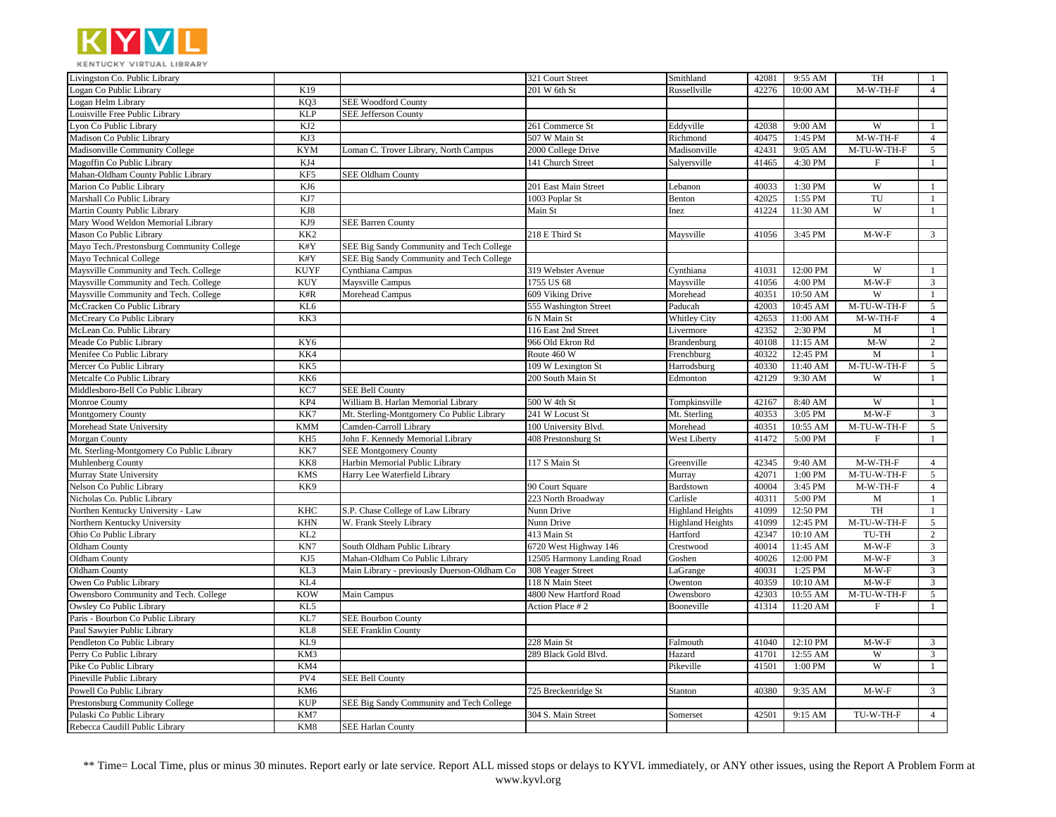

| Livingston Co. Public Library             |                 |                                             | 321 Court Street           | Smithland               | 42081 | 9:55 AM  | TH                        | -1             |
|-------------------------------------------|-----------------|---------------------------------------------|----------------------------|-------------------------|-------|----------|---------------------------|----------------|
| Logan Co Public Library                   | K19             |                                             | 201 W 6th St               | Russellville            | 42276 | 10:00 AM | M-W-TH-F                  | $\overline{4}$ |
| Logan Helm Library                        | KQ3             | <b>SEE Woodford County</b>                  |                            |                         |       |          |                           |                |
| Louisville Free Public Library            | <b>KLP</b>      | <b>SEE Jefferson County</b>                 |                            |                         |       |          |                           |                |
| von Co Public Library                     | KJ2             |                                             | 261 Commerce St            | Eddyville               | 42038 | 9:00 AM  | W                         | $\overline{1}$ |
| Madison Co Public Library                 | KJ3             |                                             | 507 W Main St              | Richmond                | 40475 | 1:45 PM  | $M-W-TH-F$                | $\overline{4}$ |
| Madisonville Community College            | <b>KYM</b>      | Loman C. Trover Library, North Campus       | 2000 College Drive         | Madisonville            | 42431 | 9:05 AM  | M-TU-W-TH-F               | 5              |
| Magoffin Co Public Library                | KJ4             |                                             | 141 Church Street          | Salyersville            | 41465 | 4:30 PM  | $\boldsymbol{\mathrm{F}}$ | $\mathbf{1}$   |
| Mahan-Oldham County Public Library        | KF5             | <b>SEE Oldham County</b>                    |                            |                         |       |          |                           |                |
| Marion Co Public Library                  | KJ6             |                                             | 201 East Main Street       | Lebanon                 | 40033 | 1:30 PM  | W                         | -1             |
| Marshall Co Public Library                | KJ7             |                                             | 1003 Poplar St             | Benton                  | 42025 | 1:55 PM  | TU                        | $\mathbf{1}$   |
| Martin County Public Library              | KJ8             |                                             | Main St                    | Inez                    | 41224 | 11:30 AM | W                         | $\mathbf{1}$   |
| Mary Wood Weldon Memorial Library         | KJ9             | <b>SEE Barren County</b>                    |                            |                         |       |          |                           |                |
| Mason Co Public Library                   | KK <sub>2</sub> |                                             | 218 E Third St             | Maysville               | 41056 | 3:45 PM  | $M-W-F$                   | $\mathfrak{Z}$ |
| Mayo Tech./Prestonsburg Community College | K#Y             | SEE Big Sandy Community and Tech College    |                            |                         |       |          |                           |                |
| Mayo Technical College                    | K#Y             | SEE Big Sandy Community and Tech College    |                            |                         |       |          |                           |                |
| Maysville Community and Tech. College     | <b>KUYF</b>     | Cynthiana Campus                            | 319 Webster Avenue         | Cynthiana               | 41031 | 12:00 PM | W                         | -1             |
| Maysville Community and Tech. College     | <b>KUY</b>      | Maysville Campus                            | 1755 US 68                 | Maysville               | 41056 | 4:00 PM  | $M-W-F$                   | $\overline{3}$ |
| Maysville Community and Tech. College     | K#R             | Morehead Campus                             | 609 Viking Drive           | Morehead                | 40351 | 10:50 AM | W                         | $\mathbf{1}$   |
| McCracken Co Public Library               | KL6             |                                             | 555 Washington Street      | Paducah                 | 42003 | 10:45 AM | M-TU-W-TH-F               | 5              |
| McCreary Co Public Library                | KK3             |                                             | 6 N Main St                | Whitley City            | 42653 | 11:00 AM | M-W-TH-F                  | $\overline{4}$ |
| McLean Co. Public Library                 |                 |                                             | 116 East 2nd Street        | Livermore               | 42352 | 2:30 PM  | M                         | $\mathbf{1}$   |
| Meade Co Public Library                   | KY6             |                                             | 966 Old Ekron Rd           | Brandenburg             | 40108 | 11:15 AM | $M-W$                     | $\overline{c}$ |
| Menifee Co Public Library                 | KK4             |                                             | Route 460 W                | Frenchburg              | 40322 | 12:45 PM | M                         | $\mathbf{1}$   |
| Mercer Co Public Library                  | KK5             |                                             | 109 W Lexington St         | Harrodsburg             | 40330 | 11:40 AM | M-TU-W-TH-F               | 5              |
| Metcalfe Co Public Library                | KK6             |                                             | 200 South Main St          | Edmonton                | 42129 | 9:30 AM  | W                         | -1             |
| Middlesboro-Bell Co Public Library        | KC7             | <b>SEE Bell County</b>                      |                            |                         |       |          |                           |                |
| Monroe County                             | KP4             | William B. Harlan Memorial Library          | 500 W 4th St               | Tompkinsville           | 42167 | 8:40 AM  | W                         | $\mathbf{1}$   |
| Montgomery County                         | KK7             | Mt. Sterling-Montgomery Co Public Library   | 241 W Locust St            | Mt. Sterling            | 40353 | 3:05 PM  | $M-W-F$                   | $\overline{3}$ |
| Morehead State University                 | <b>KMM</b>      | Camden-Carroll Library                      | 100 University Blvd.       | Morehead                | 40351 | 10:55 AM | M-TU-W-TH-F               | 5              |
| Morgan County                             | KH5             | John F. Kennedy Memorial Library            | 408 Prestonsburg St        | <b>West Liberty</b>     | 41472 | 5:00 PM  | $\mathbf{F}$              | $\mathbf{1}$   |
| Mt. Sterling-Montgomery Co Public Library | KK7             | <b>SEE Montgomery County</b>                |                            |                         |       |          |                           |                |
| Muhlenberg County                         | KK8             | Harbin Memorial Public Library              | 117 S Main St              | Greenville              | 42345 | 9:40 AM  | M-W-TH-F                  | $\overline{4}$ |
| Murray State University                   | <b>KMS</b>      | Harry Lee Waterfield Library                |                            | Murray                  | 42071 | 1:00 PM  | M-TU-W-TH-F               | 5              |
| Nelson Co Public Library                  | KK9             |                                             | 90 Court Square            | Bardstown               | 40004 | 3:45 PM  | M-W-TH-F                  | $\overline{4}$ |
| Nicholas Co. Public Library               |                 |                                             | 223 North Broadway         | Carlisle                | 40311 | 5:00 PM  | M                         | $\mathbf{1}$   |
| Northen Kentucky University - Law         | <b>KHC</b>      | S.P. Chase College of Law Library           | Nunn Drive                 | <b>Highland Heights</b> | 41099 | 12:50 PM | TH                        | -1             |
| Northern Kentucky University              | <b>KHN</b>      | W. Frank Steely Library                     | Nunn Drive                 | <b>Highland Heights</b> | 41099 | 12:45 PM | M-TU-W-TH-F               | 5              |
| Ohio Co Public Library                    | KL <sub>2</sub> |                                             | 413 Main St                | Hartford                | 42347 | 10:10 AM | TU-TH                     | $\overline{c}$ |
| Oldham County                             | KN7             | South Oldham Public Library                 | 6720 West Highway 146      | Crestwood               | 40014 | 11:45 AM | $M-W-F$                   | $\mathbf{3}$   |
| Oldham County                             | KJ5             | Mahan-Oldham Co Public Library              | 12505 Harmony Landing Road | Goshen                  | 40026 | 12:00 PM | $M-W-F$                   | $\mathbf{3}$   |
| Oldham County                             | KL3             | Main Library - previously Duerson-Oldham Co | 308 Yeager Street          | LaGrange                | 40031 | 1:25 PM  | $M-W-F$                   | $\overline{3}$ |
| Owen Co Public Library                    | KL <sub>4</sub> |                                             | 118 N Main Steet           | Owenton                 | 40359 | 10:10 AM | $M-W-F$                   | $\overline{3}$ |
| Owensboro Community and Tech. College     | <b>KOW</b>      | Main Campus                                 | 4800 New Hartford Road     | Owensboro               | 42303 | 10:55 AM | M-TU-W-TH-F               | 5              |
| Owsley Co Public Library                  | KL5             |                                             | Action Place # 2           | Booneville              | 41314 | 11:20 AM | $\mathbf F$               | $\mathbf{1}$   |
| Paris - Bourbon Co Public Library         | KL7             | <b>SEE Bourbon County</b>                   |                            |                         |       |          |                           |                |
| Paul Sawyier Public Library               | KL8             | <b>SEE Franklin County</b>                  |                            |                         |       |          |                           |                |
| Pendleton Co Public Library               | KL9             |                                             | 228 Main St                | Falmouth                | 41040 | 12:10 PM | $M-W-F$                   | $\mathfrak{Z}$ |
| Perry Co Public Library                   | KM3             |                                             | 289 Black Gold Blvd.       | Hazard                  | 41701 | 12:55 AM | W                         | $\overline{3}$ |
| Pike Co Public Library                    | KM4             |                                             |                            | Pikeville               | 41501 | 1:00 PM  | W                         | $\mathbf{1}$   |
| Pineville Public Library                  | PV4             | <b>SEE Bell County</b>                      |                            |                         |       |          |                           |                |
| Powell Co Public Library                  | KM <sub>6</sub> |                                             | 725 Breckenridge St        | Stanton                 | 40380 | 9:35 AM  | $M-W-F$                   | $\overline{3}$ |
| Prestonsburg Community College            | <b>KUP</b>      | SEE Big Sandy Community and Tech College    |                            |                         |       |          |                           |                |
| Pulaski Co Public Library                 | KM7             |                                             | 304 S. Main Street         | Somerset                | 42501 | 9:15 AM  | TU-W-TH-F                 | $\overline{4}$ |
| Rebecca Caudill Public Library            | KM8             | <b>SEE Harlan County</b>                    |                            |                         |       |          |                           |                |